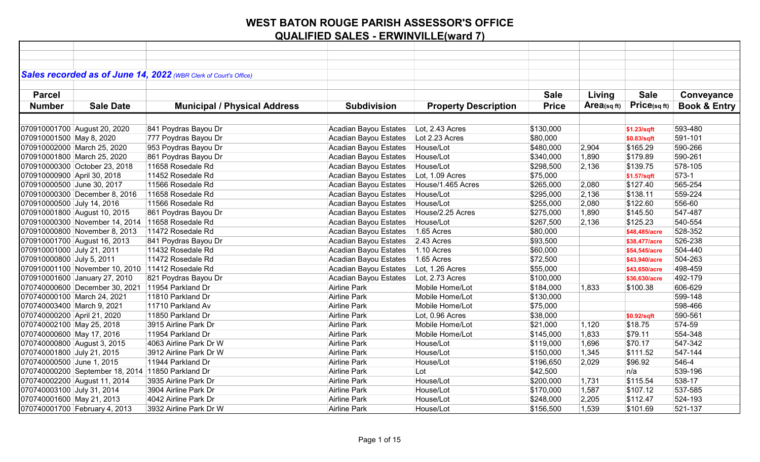| Sales recorded as of June 14, 2022 (WBR Clerk of Court's Office) |                                     |                              |                             |              |                |                   |                         |
|------------------------------------------------------------------|-------------------------------------|------------------------------|-----------------------------|--------------|----------------|-------------------|-------------------------|
|                                                                  |                                     |                              |                             |              |                |                   |                         |
| <b>Parcel</b>                                                    |                                     |                              |                             | <b>Sale</b>  | Living         | <b>Sale</b>       | Conveyance              |
| <b>Sale Date</b><br><b>Number</b>                                | <b>Municipal / Physical Address</b> | <b>Subdivision</b>           | <b>Property Description</b> | <b>Price</b> | $Area$ (sq ft) | $Price_{(sq ft)}$ | <b>Book &amp; Entry</b> |
|                                                                  |                                     |                              |                             |              |                |                   |                         |
| 070910001700 August 20, 2020                                     | 841 Poydras Bayou Dr                | Acadian Bayou Estates        | Lot, 2.43 Acres             | \$130,000    |                | \$1.23/sqft       | 593-480                 |
| 070910001500 May 8, 2020                                         | 777 Poydras Bayou Dr                | Acadian Bayou Estates        | Lot 2.23 Acres              | \$80,000     |                | \$0.83/sqft       | 591-101                 |
| 070910002000 March 25, 2020                                      | 953 Poydras Bayou Dr                | Acadian Bayou Estates        | House/Lot                   | \$480,000    | 2,904          | \$165.29          | 590-266                 |
| 070910001800 March 25, 2020                                      | 861 Poydras Bayou Dr                | Acadian Bayou Estates        | House/Lot                   | \$340,000    | 1,890          | \$179.89          | 590-261                 |
| 070910000300 October 23, 2018                                    | 11658 Rosedale Rd                   | Acadian Bayou Estates        | House/Lot                   | \$298,500    | 2,136          | \$139.75          | 578-105                 |
| 070910000900 April 30, 2018                                      | 11452 Rosedale Rd                   | Acadian Bayou Estates        | Lot, 1.09 Acres             | \$75,000     |                | \$1.57/sqft       | $573-1$                 |
| 070910000500 June 30, 2017                                       | 11566 Rosedale Rd                   | Acadian Bayou Estates        | House/1.465 Acres           | \$265,000    | 2,080          | \$127.40          | 565-254                 |
| 070910000300 December 8, 2016                                    | 11658 Rosedale Rd                   | Acadian Bayou Estates        | House/Lot                   | \$295,000    | 2,136          | \$138.11          | 559-224                 |
| 070910000500 July 14, 2016                                       | 11566 Rosedale Rd                   | Acadian Bayou Estates        | House/Lot                   | \$255,000    | 2,080          | \$122.60          | 556-60                  |
| 070910001800 August 10, 2015                                     | 861 Poydras Bayou Dr                | Acadian Bayou Estates        | House/2.25 Acres            | \$275,000    | 1,890          | \$145.50          | 547-487                 |
| 070910000300 November 14, 2014 11658 Rosedale Rd                 |                                     | Acadian Bayou Estates        | House/Lot                   | \$267,500    | 2,136          | \$125.23          | 540-554                 |
| 070910000800 November 8, 2013                                    | 11472 Rosedale Rd                   | Acadian Bayou Estates        | 1.65 Acres                  | \$80,000     |                | \$48,485/acre     | 528-352                 |
| 070910001700 August 16, 2013                                     | 841 Poydras Bayou Dr                | Acadian Bayou Estates        | $2.43$ Acres                | \$93,500     |                | \$38,477/acre     | 526-238                 |
| 070910001000 July 21, 2011                                       | 11432 Rosedale Rd                   | Acadian Bayou Estates        | $1.10$ Acres                | \$60,000     |                | \$54,545/acre     | 504-440                 |
| 070910000800 July 5, 2011                                        | 11472 Rosedale Rd                   | Acadian Bayou Estates        | 1.65 Acres                  | \$72,500     |                | \$43,940/acre     | 504-263                 |
| 070910001100 November 10, 2010 11412 Rosedale Rd                 |                                     | Acadian Bayou Estates        | Lot, 1.26 Acres             | \$55,000     |                | \$43,650/acre     | 498-459                 |
| 070910001600 January 27, 2010                                    | 821 Poydras Bayou Dr                | <b>Acadian Bayou Estates</b> | Lot, 2.73 Acres             | \$100,000    |                | \$36,630/acre     | 492-179                 |
| 070740000600 December 30, 2021 11954 Parkland Dr                 |                                     | <b>Airline Park</b>          | Mobile Home/Lot             | \$184,000    | 1,833          | \$100.38          | 606-629                 |
| 070740000100 March 24, 2021                                      | 11810 Parkland Dr                   | <b>Airline Park</b>          | Mobile Home/Lot             | \$130,000    |                |                   | 599-148                 |
| 070740003400 March 9, 2021                                       | 11710 Parkland Av                   | Airline Park                 | Mobile Home/Lot             | \$75,000     |                |                   | 598-466                 |
| 070740000200 April 21, 2020                                      | 11850 Parkland Dr                   | Airline Park                 | Lot, 0.96 Acres             | \$38,000     |                | \$0.92/sqft       | 590-561                 |
| 070740002100 May 25, 2018                                        | 3915 Airline Park Dr                | <b>Airline Park</b>          | Mobile Home/Lot             | \$21,000     | 1,120          | \$18.75           | 574-59                  |
| 070740000600 May 17, 2016                                        | 11954 Parkland Dr                   | Airline Park                 | Mobile Home/Lot             | \$145,000    | 1,833          | \$79.11           | 554-348                 |
| 070740000800 August 3, 2015                                      | 4063 Airline Park Dr W              | <b>Airline Park</b>          | House/Lot                   | \$119,000    | 1,696          | \$70.17           | 547-342                 |
| 070740001800 July 21, 2015                                       | 3912 Airline Park Dr W              | <b>Airline Park</b>          | House/Lot                   | \$150,000    | 1,345          | \$111.52          | 547-144                 |
| 070740000500 June 1, 2015                                        | 11944 Parkland Dr                   | <b>Airline Park</b>          | House/Lot                   | \$196,650    | 2,029          | \$96.92           | 546-4                   |
| 070740000200 September 18, 2014 11850 Parkland Dr                |                                     | <b>Airline Park</b>          | Lot                         | \$42,500     |                | n/a               | 539-196                 |
| 070740002200 August 11, 2014                                     | 3935 Airline Park Dr                | <b>Airline Park</b>          | House/Lot                   | \$200,000    | 1,731          | \$115.54          | 538-17                  |
| 070740003100 July 31, 2014                                       | 3904 Airline Park Dr                | <b>Airline Park</b>          | House/Lot                   | \$170,000    | 1,587          | \$107.12          | 537-585                 |
| 070740001600 May 21, 2013                                        | 4042 Airline Park Dr                | <b>Airline Park</b>          | House/Lot                   | \$248,000    | 2,205          | \$112.47          | 524-193                 |
| 070740001700 February 4, 2013                                    | 3932 Airline Park Dr W              | <b>Airline Park</b>          | House/Lot                   | \$156,500    | 1,539          | \$101.69          | 521-137                 |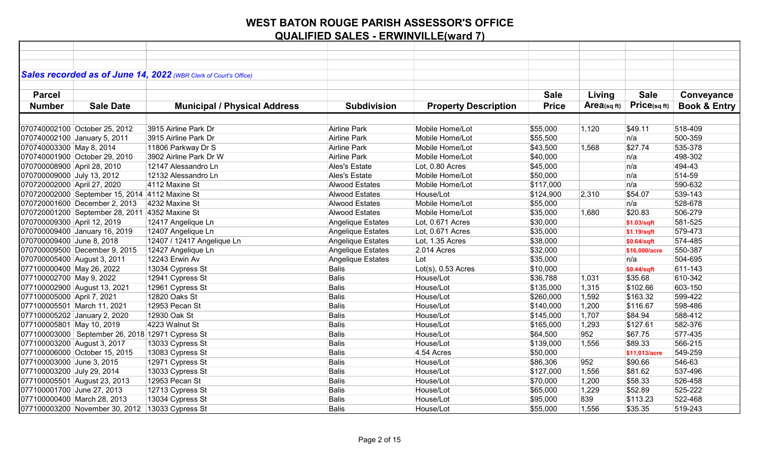|                             |                                                  | Sales recorded as of June 14, 2022 (WBR Clerk of Court's Office) |                       |                             |              |                         |                   |                         |
|-----------------------------|--------------------------------------------------|------------------------------------------------------------------|-----------------------|-----------------------------|--------------|-------------------------|-------------------|-------------------------|
|                             |                                                  |                                                                  |                       |                             |              |                         |                   |                         |
| <b>Parcel</b>               |                                                  |                                                                  |                       |                             | <b>Sale</b>  | Living                  | <b>Sale</b>       | Conveyance              |
| <b>Number</b>               | <b>Sale Date</b>                                 | <b>Municipal / Physical Address</b>                              | <b>Subdivision</b>    | <b>Property Description</b> | <b>Price</b> | Area <sub>(sq ft)</sub> | $Price_{(sq ft)}$ | <b>Book &amp; Entry</b> |
|                             |                                                  |                                                                  |                       |                             |              |                         |                   |                         |
|                             | 070740002100 October 25, 2012                    | 3915 Airline Park Dr                                             | <b>Airline Park</b>   | Mobile Home/Lot             | \$55,000     | 1,120                   | \$49.11           | 518-409                 |
|                             | 070740002100 January 5, 2011                     | 3915 Airline Park Dr                                             | Airline Park          | Mobile Home/Lot             | \$55,500     |                         | n/a               | 500-359                 |
| 070740003300 May 8, 2014    |                                                  | 11806 Parkway Dr S                                               | Airline Park          | Mobile Home/Lot             | \$43,500     | 1,568                   | \$27.74           | 535-378                 |
|                             | 070740001900 October 29, 2010                    | 3902 Airline Park Dr W                                           | <b>Airline Park</b>   | Mobile Home/Lot             | \$40,000     |                         | n/a               | 498-302                 |
| 070700008900 April 28, 2010 |                                                  | 12147 Alessandro Ln                                              | Ales's Estate         | Lot, 0.80 Acres             | \$45,000     |                         | n/a               | 494-43                  |
| 070700009000 July 13, 2012  |                                                  | 12132 Alessandro Ln                                              | Ales's Estate         | Mobile Home/Lot             | \$50,000     |                         | n/a               | 514-59                  |
| 070720002000 April 27, 2020 |                                                  | 4112 Maxine St                                                   | <b>Alwood Estates</b> | Mobile Home/Lot             | \$117,000    |                         | n/a               | 590-632                 |
|                             | 070720002000 September 15, 2014 4112 Maxine St   |                                                                  | <b>Alwood Estates</b> | House/Lot                   | \$124,900    | 2,310                   | \$54.07           | 539-143                 |
|                             | 070720001600 December 2, 2013                    | 4232 Maxine St                                                   | <b>Alwood Estates</b> | Mobile Home/Lot             | \$55,000     |                         | n/a               | 528-678                 |
|                             | 070720001200 September 28, 2011 4352 Maxine St   |                                                                  | <b>Alwood Estates</b> | Mobile Home/Lot             | \$35,000     | 1,680                   | \$20.83           | 506-279                 |
| 070700009300 April 12, 2019 |                                                  | 12417 Angelique Ln                                               | Angelique Estates     | Lot, 0.671 Acres            | \$30,000     |                         | \$1.03/sqft       | 581-525                 |
|                             | 070700009400 January 16, 2019                    | 12407 Angelique Ln                                               | Angelique Estates     | Lot, 0.671 Acres            | \$35,000     |                         | \$1.19/sqft       | 579-473                 |
| 070700009400 June 8, 2018   |                                                  | 12407 / 12417 Angelique Ln                                       | Angelique Estates     | Lot, 1.35 Acres             | \$38,000     |                         | \$0.64/sqft       | 574-485                 |
|                             | 070700009500 December 9, 2015                    | 12427 Angelique Ln                                               | Angelique Estates     | 2.014 Acres                 | \$32,000     |                         | \$16,000/acre     | 550-387                 |
| 070700005400 August 3, 2011 |                                                  | 12243 Erwin Av                                                   | Angelique Estates     | Lot                         | \$35,000     |                         | n/a               | 504-695                 |
| 077100000400 May 26, 2022   |                                                  | 13034 Cypress St                                                 | <b>Balis</b>          | $Lot(s), 0.53$ Acres        | \$10,000     |                         | \$0.44/sqft       | 611-143                 |
| 077100002700 May 9, 2022    |                                                  | 12941 Cypress St                                                 | <b>Balis</b>          | House/Lot                   | \$36,788     | 1,031                   | \$35.68           | 610-342                 |
|                             | 077100002900 August 13, 2021                     | 12961 Cypress St                                                 | <b>Balis</b>          | House/Lot                   | \$135,000    | 1,315                   | \$102.66          | 603-150                 |
| 077100005000 April 7, 2021  |                                                  | 12820 Oaks St                                                    | <b>Balis</b>          | House/Lot                   | \$260,000    | 1,592                   | \$163.32          | 599-422                 |
|                             | 077100005501 March 11, 2021                      | 12953 Pecan St                                                   | <b>Balis</b>          | House/Lot                   | \$140,000    | 1,200                   | \$116.67          | 598-486                 |
|                             | 077100005202 January 2, 2020                     | 12930 Oak St                                                     | Balis                 | House/Lot                   | \$145,000    | 1,707                   | \$84.94           | 588-412                 |
| 077100005801 May 10, 2019   |                                                  | 4223 Walnut St                                                   | <b>Balis</b>          | House/Lot                   | \$165,000    | 1,293                   | \$127.61          | 582-376                 |
|                             | 077100003000 September 26, 2018 12971 Cypress St |                                                                  | <b>Balis</b>          | House/Lot                   | \$64,500     | 952                     | \$67.75           | 577-435                 |
|                             | 077100003200 August 3, 2017                      | 13033 Cypress St                                                 | <b>Balis</b>          | House/Lot                   | \$139,000    | 1,556                   | \$89.33           | 566-215                 |
|                             | 077100006000 October 15, 2015                    | 13083 Cypress St                                                 | <b>Balis</b>          | 4.54 Acres                  | \$50,000     |                         | \$11,013/acre     | 549-259                 |
| 077100003000 June 3, 2015   |                                                  | 12971 Cypress St                                                 | <b>Balis</b>          | House/Lot                   | \$86,306     | 952                     | \$90.66           | 546-63                  |
| 077100003200 July 29, 2014  |                                                  | 13033 Cypress St                                                 | <b>Balis</b>          | House/Lot                   | \$127,000    | 1,556                   | \$81.62           | 537-496                 |
|                             | 077100005501 August 23, 2013                     | 12953 Pecan St                                                   | <b>Balis</b>          | House/Lot                   | \$70,000     | 1,200                   | \$58.33           | 526-458                 |
| 077100001700 June 27, 2013  |                                                  | 12713 Cypress St                                                 | <b>Balis</b>          | House/Lot                   | \$65,000     | 1,229                   | \$52.89           | 525-222                 |
|                             | 077100000400 March 28, 2013                      | 13034 Cypress St                                                 | <b>Balis</b>          | House/Lot                   | \$95,000     | 839                     | \$113.23          | 522-468                 |
|                             | 077100003200 November 30, 2012 13033 Cypress St  |                                                                  | <b>Balis</b>          | House/Lot                   | \$55,000     | 1,556                   | \$35.35           | 519-243                 |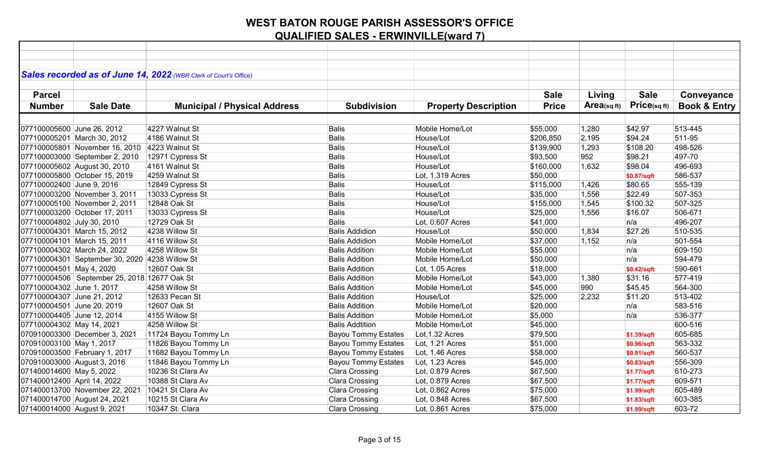|                             |                                                | Sales recorded as of June 14, 2022 (WBR Clerk of Court's Office) |                            |                             |              |                |              |                         |
|-----------------------------|------------------------------------------------|------------------------------------------------------------------|----------------------------|-----------------------------|--------------|----------------|--------------|-------------------------|
|                             |                                                |                                                                  |                            |                             |              |                |              |                         |
| <b>Parcel</b>               |                                                |                                                                  |                            |                             | <b>Sale</b>  | Living         | <b>Sale</b>  | Conveyance              |
| <b>Number</b>               | <b>Sale Date</b>                               | <b>Municipal / Physical Address</b>                              | <b>Subdivision</b>         | <b>Property Description</b> | <b>Price</b> | Area(sq $ft$ ) | Price(sq ft) | <b>Book &amp; Entry</b> |
|                             |                                                |                                                                  |                            |                             |              |                |              |                         |
| 077100005600 June 26, 2012  |                                                | 4227 Walnut St                                                   | <b>Balis</b>               | Mobile Home/Lot             | \$55,000     | 1,280          | \$42.97      | 513-445                 |
|                             | 077100005201 March 30, 2012                    | 4186 Walnut St                                                   | Balis                      | House/Lot                   | \$206,850    | 2,195          | \$94.24      | 511-95                  |
|                             | 077100005801 November 16, 2010 4223 Walnut St  |                                                                  | Balis                      | House/Lot                   | \$139,900    | 1,293          | \$108.20     | 498-526                 |
|                             | 077100003000 September 2, 2010                 |                                                                  | Balis                      | House/Lot                   | \$93,500     | 952            | \$98.21      | 497-70                  |
|                             |                                                | 12971 Cypress St<br>4161 Walnut St                               |                            | House/Lot                   |              |                |              | 496-693                 |
|                             | 077100005602 August 30, 2010                   |                                                                  | Balis                      |                             | \$160,000    | 1,632          | \$98.04      |                         |
|                             | 077100005800 October 15, 2019                  | 4259 Walnut St                                                   | Balis                      | Lot, 1.319 Acres            | \$50,000     |                | \$0.87/sqft  | 586-537                 |
| 077100002400 June 9, 2016   |                                                | 12849 Cypress St                                                 | Balis                      | House/Lot                   | \$115,000    | 1,426          | \$80.65      | 555-139                 |
|                             | 077100003200 November 3, 2011                  | 13033 Cypress St                                                 | Balis                      | House/Lot                   | \$35,000     | 1,556          | \$22.49      | 507-353                 |
|                             | 077100005100 November 2, 2011                  | 12848 Oak St                                                     | Balis                      | House/Lot                   | \$155,000    | 1,545          | \$100.32     | 507-325                 |
|                             | 077100003200 October 17, 2011                  | 13033 Cypress St                                                 | Balis                      | House/Lot                   | \$25,000     | 1,556          | \$16.07      | 506-671                 |
| 077100004802 July 30, 2010  |                                                | 12729 Oak St                                                     | Balis                      | Lot, 0.607 Acres            | \$41,000     |                | n/a          | 496-207                 |
|                             | 077100004301 March 15, 2012                    | 4238 Willow St                                                   | <b>Balis Addidion</b>      | House/Lot                   | \$50,000     | 1,834          | \$27.26      | 510-535                 |
|                             | 077100004101 March 15, 2011                    | 4116 Willow St                                                   | <b>Balis Addidion</b>      | Mobile Home/Lot             | \$37,000     | 1,152          | n/a          | 501-554                 |
|                             | 077100004302 March 24, 2022                    | 4258 Willow St                                                   | <b>Balis Addition</b>      | Mobile Home/Lot             | \$55,000     |                | n/a          | 609-150                 |
|                             | 077100004301 September 30, 2020 4238 Willow St |                                                                  | <b>Balis Addition</b>      | Mobile Home/Lot             | \$50,000     |                | n/a          | 594-479                 |
| 077100004501 May 4, 2020    |                                                | 12607 Oak St                                                     | <b>Balis Addition</b>      | Lot, 1.05 Acres             | \$18,000     |                | \$0.42/sqft  | 590-661                 |
|                             | 077100004506 September 25, 2018 12677 Oak St   |                                                                  | <b>Balis Addition</b>      | Mobile Home/Lot             | \$43,000     | 1,380          | \$31.16      | 577-419                 |
| 077100004302 June 1, 2017   |                                                | 4258 Willow St                                                   | <b>Balis Addition</b>      | Mobile Home/Lot             | \$45,000     | 990            | \$45.45      | 564-300                 |
| 077100004307 June 21, 2012  |                                                | 12633 Pecan St                                                   | <b>Balis Addition</b>      | House/Lot                   | \$25,000     | 2,232          | \$11.20      | 513-402                 |
| 077100004501 June 20, 2019  |                                                | 12607 Oak St                                                     | <b>Balis Addition</b>      | Mobile Home/Lot             | \$20,000     |                | n/a          | 583-516                 |
| 077100004405 June 12, 2014  |                                                | 4155 Willow St                                                   | <b>Balis Addition</b>      | Mobile Home/Lot             | \$5,000      |                | n/a          | 536-377                 |
| 077100004302 May 14, 2021   |                                                | 4258 Willow St                                                   | <b>Balis Addtition</b>     | Mobile Home/Lot             | \$45,000     |                |              | 600-516                 |
|                             | 070910003300 December 3, 2021                  | 11724 Bayou Tommy Ln                                             | <b>Bayou Tommy Estates</b> | Lot, 1.32 Acres             | \$79,500     |                | \$1.39/sqft  | 605-685                 |
| 070910003100 May 1, 2017    |                                                | 11826 Bayou Tommy Ln                                             | <b>Bayou Tommy Estates</b> | Lot, 1.21 Acres             | \$51,000     |                | \$0.96/sqft  | 563-332                 |
|                             | 070910003500 February 1, 2017                  | 11682 Bayou Tommy Ln                                             | <b>Bayou Tommy Estates</b> | Lot, 1.46 Acres             | \$58,000     |                | \$0.91/sqft  | 560-537                 |
| 070910003000 August 3, 2016 |                                                | 11846 Bayou Tommy Ln                                             | <b>Bayou Tommy Estates</b> | Lot, 1.23 Acres             | \$45,000     |                | \$0.83/sqft  | 556-309                 |
| 071400014600 May 5, 2022    |                                                | 10236 St Clara Av                                                | Clara Crossing             | Lot, 0.879 Acres            | \$67,500     |                | \$1.77/sqft  | 610-273                 |
| 071400012400 April 14, 2022 |                                                | 10388 St Clara Av                                                | Clara Crossing             | Lot, 0.879 Acres            | \$67,500     |                | \$1.77/sqft  | 609-571                 |
|                             | 071400013700 November 22, 2021                 | 10421 St Clara Av                                                | Clara Crossing             | Lot, 0.862 Acres            | \$75,000     |                | \$1.99/sqft  | 605-489                 |
|                             | 071400014700 August 24, 2021                   | 10215 St Clara Av                                                | Clara Crossing             | Lot, 0.848 Acres            | \$67,500     |                | \$1.83/sqft  | 603-385                 |
| 071400014000 August 9, 2021 |                                                | 10347 St. Clara                                                  | Clara Crossing             | Lot, 0.861 Acres            | \$75,000     |                | \$1.99/sqft  | 603-72                  |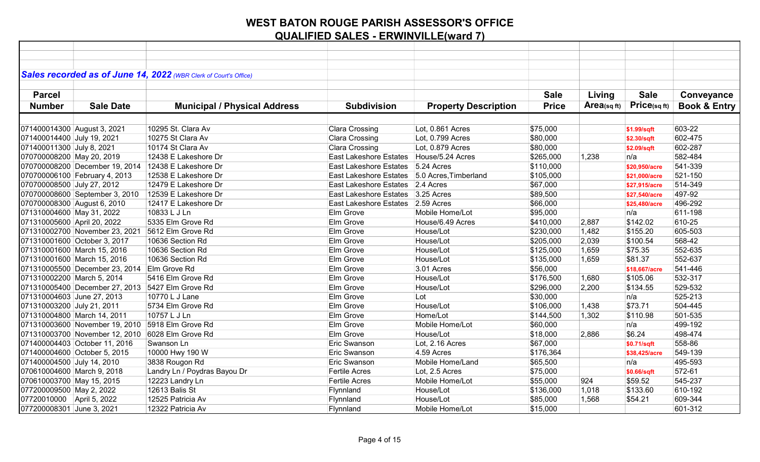|                              |                                                  | Sales recorded as of June 14, 2022 (WBR Clerk of Court's Office) |                                   |                             |              |            |               |                         |
|------------------------------|--------------------------------------------------|------------------------------------------------------------------|-----------------------------------|-----------------------------|--------------|------------|---------------|-------------------------|
|                              |                                                  |                                                                  |                                   |                             |              |            |               |                         |
| <b>Parcel</b>                |                                                  |                                                                  |                                   |                             | <b>Sale</b>  | Living     | <b>Sale</b>   | Conveyance              |
| <b>Number</b>                | <b>Sale Date</b>                                 | <b>Municipal / Physical Address</b>                              | <b>Subdivision</b>                | <b>Property Description</b> | <b>Price</b> | Area(sqft) | Price(sqft)   | <b>Book &amp; Entry</b> |
|                              |                                                  |                                                                  |                                   |                             |              |            |               |                         |
| 071400014300 August 3, 2021  |                                                  | 10295 St. Clara Av                                               | Clara Crossing                    | Lot, 0.861 Acres            | \$75,000     |            | \$1.99/sqft   | 603-22                  |
| 071400014400 July 19, 2021   |                                                  | 10275 St Clara Av                                                | Clara Crossing                    | Lot, 0.799 Acres            | \$80,000     |            | \$2.30/sqft   | 602-475                 |
| 071400011300 July 8, 2021    |                                                  | 10174 St Clara Av                                                | Clara Crossing                    | Lot, 0.879 Acres            | \$80,000     |            | \$2.09/sqft   | 602-287                 |
| 070700008200 May 20, 2019    |                                                  | 12438 E Lakeshore Dr                                             | East Lakeshore Estates            | House/5.24 Acres            | \$265,000    | 1,238      | n/a           | 582-484                 |
|                              | 070700008200 December 19, 2014                   | 12438 E Lakeshore Dr                                             | East Lakeshore Estates 5.24 Acres |                             | \$110,000    |            | \$20,950/acre | 541-339                 |
|                              | 070700006100 February 4, 2013                    | 12538 E Lakeshore Dr                                             | <b>East Lakeshore Estates</b>     | 5.0 Acres, Timberland       | \$105,000    |            | \$21,000/acre | 521-150                 |
| 070700008500 July 27, 2012   |                                                  | 12479 E Lakeshore Dr                                             | East Lakeshore Estates 2.4 Acres  |                             | \$67,000     |            | \$27,915/acre | 514-349                 |
|                              | 070700008600 September 3, 2010                   | 12539 E Lakeshore Dr                                             | <b>East Lakeshore Estates</b>     | $3.25$ Acres                | \$89,500     |            | \$27,540/acre | 497-92                  |
| 070700008300 August 6, 2010  |                                                  | 12417 E Lakeshore Dr                                             | East Lakeshore Estates 2.59 Acres |                             | \$66,000     |            | \$25,480/acre | 496-292                 |
| 071310004600 May 31, 2022    |                                                  | 10833 L J Ln                                                     | Elm Grove                         | Mobile Home/Lot             | \$95,000     |            | n/a           | 611-198                 |
| 071310005600 April 20, 2022  |                                                  | 5335 Elm Grove Rd                                                | Elm Grove                         | House/6.49 Acres            | \$410,000    | 2,887      | \$142.02      | 610-25                  |
|                              | 071310002700 November 23, 2021                   | 5612 Elm Grove Rd                                                | Elm Grove                         | House/Lot                   | \$230,000    | 1,482      | \$155.20      | 605-503                 |
| 071310001600 October 3, 2017 |                                                  | 10636 Section Rd                                                 | Elm Grove                         | House/Lot                   | \$205,000    | 2,039      | \$100.54      | 568-42                  |
| 071310001600 March 15, 2016  |                                                  | 10636 Section Rd                                                 | Elm Grove                         | House/Lot                   | \$125,000    | 1,659      | \$75.35       | 552-635                 |
| 071310001600 March 15, 2016  |                                                  | 10636 Section Rd                                                 | Elm Grove                         | House/Lot                   | \$135,000    | 1,659      | \$81.37       | 552-637                 |
|                              | 071310005500 December 23, 2014 Elm Grove Rd      |                                                                  | Elm Grove                         | 3.01 Acres                  | \$56,000     |            | \$18,667/acre | 541-446                 |
| 071310002200 March 5, 2014   |                                                  | 5416 Elm Grove Rd                                                | Elm Grove                         | House/Lot                   | \$176,500    | 1,680      | \$105.06      | 532-317                 |
|                              | 071310005400 December 27, 2013 5427 Elm Grove Rd |                                                                  | Elm Grove                         | House/Lot                   | \$296,000    | 2,200      | \$134.55      | 529-532                 |
| 071310004603 June 27, 2013   |                                                  | 10770 L J Lane                                                   | Elm Grove                         | Lot                         | \$30,000     |            | n/a           | 525-213                 |
| 071310003200 July 21, 2011   |                                                  | 5734 Elm Grove Rd                                                | Elm Grove                         | House/Lot                   | \$106,000    | 1,438      | \$73.71       | 504-445                 |
| 071310004800 March 14, 2011  |                                                  | 10757 L J Ln                                                     | Elm Grove                         | Home/Lot                    | \$144,500    | 1,302      | \$110.98      | 501-535                 |
|                              | 071310003600 November 19, 2010                   | 5918 Elm Grove Rd                                                | Elm Grove                         | Mobile Home/Lot             | \$60,000     |            | n/a           | 499-192                 |
|                              | 071310003700 November 12, 2010                   | 6028 Elm Grove Rd                                                | Elm Grove                         | House/Lot                   | \$18,000     | 2,886      | \$6.24        | 498-474                 |
|                              | 071400004403 October 11, 2016                    | Swanson Ln                                                       | Eric Swanson                      | Lot, 2.16 Acres             | \$67,000     |            | \$0.71/sqft   | 558-86                  |
| 071400004600 October 5, 2015 |                                                  | 10000 Hwy 190 W                                                  | Eric Swanson                      | 4.59 Acres                  | \$176,364    |            | \$38,425/acre | 549-139                 |
| 071400004500 July 14, 2010   |                                                  | 3838 Rougon Rd                                                   | Eric Swanson                      | Mobile Home/Land            | \$65,500     |            | n/a           | 495-593                 |
| 070610004600 March 9, 2018   |                                                  | Landry Ln / Poydras Bayou Dr                                     | Fertile Acres                     | Lot, 2.5 Acres              | \$75,000     |            | \$0.66/sqft   | 572-61                  |
| 070610003700 May 15, 2015    |                                                  | 12223 Landry Ln                                                  | Fertile Acres                     | Mobile Home/Lot             | \$55,000     | 924        | \$59.52       | 545-237                 |
| 077200009500 May 2, 2022     |                                                  | 12613 Balis St                                                   | Flynnland                         | House/Lot                   | \$136,000    | 1,018      | \$133.60      | 610-192                 |
| 07720010000 April 5, 2022    |                                                  | 12525 Patricia Av                                                | Flynnland                         | House/Lot                   | \$85,000     | 1,568      | \$54.21       | 609-344                 |
| 077200008301 June 3, 2021    |                                                  | 12322 Patricia Av                                                | Flynnland                         | Mobile Home/Lot             | \$15,000     |            |               | 601-312                 |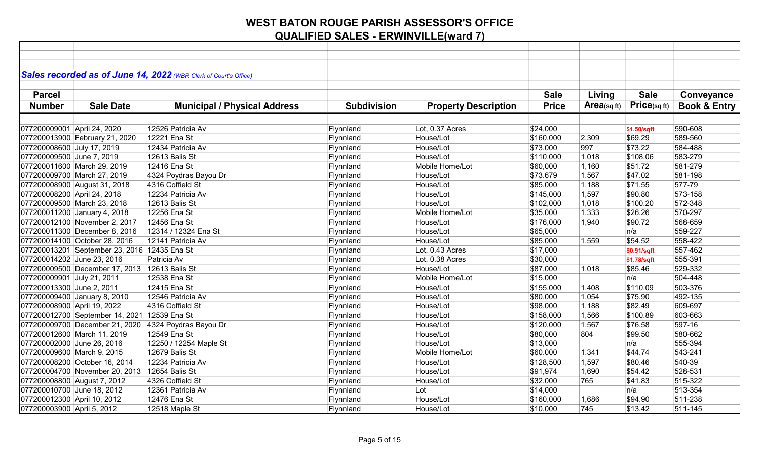|                                               | Sales recorded as of June 14, 2022 (WBR Clerk of Court's Office) |                    |                             |              |                   |              |                         |
|-----------------------------------------------|------------------------------------------------------------------|--------------------|-----------------------------|--------------|-------------------|--------------|-------------------------|
| <b>Parcel</b>                                 |                                                                  |                    |                             | <b>Sale</b>  | Living            | <b>Sale</b>  | Conveyance              |
| <b>Sale Date</b><br><b>Number</b>             |                                                                  | <b>Subdivision</b> |                             | <b>Price</b> | $Area_{(sq\,ft)}$ | Price(sq ft) | <b>Book &amp; Entry</b> |
|                                               | <b>Municipal / Physical Address</b>                              |                    | <b>Property Description</b> |              |                   |              |                         |
|                                               |                                                                  |                    |                             |              |                   |              |                         |
| 077200009001 April 24, 2020                   | 12526 Patricia Av                                                | Flynnland          | Lot, 0.37 Acres             | \$24,000     |                   | \$1.50/sqft  | 590-608                 |
| 077200013900 February 21, 2020                | 12221 Ena St                                                     | Flynnland          | House/Lot                   | \$160,000    | 2,309             | \$69.29      | 589-560                 |
| 077200008600 July 17, 2019                    | 12434 Patricia Av                                                | Flynnland          | House/Lot                   | \$73,000     | 997               | \$73.22      | 584-488                 |
| 077200009500 June 7, 2019                     | 12613 Balis St                                                   | Flynnland          | House/Lot                   | \$110,000    | 1,018             | \$108.06     | 583-279                 |
| 077200011600 March 29, 2019                   | 12416 Ena St                                                     | Flynnland          | Mobile Home/Lot             | \$60,000     | 1,160             | \$51.72      | 581-279                 |
| 077200009700 March 27, 2019                   | 4324 Poydras Bayou Dr                                            | Flynnland          | House/Lot                   | \$73,679     | 1,567             | \$47.02      | 581-198                 |
| 077200008900 August 31, 2018                  | 4316 Coffield St                                                 | Flynnland          | House/Lot                   | \$85,000     | 1,188             | \$71.55      | 577-79                  |
| 077200008200 April 24, 2018                   | 12234 Patricia Av                                                | Flynnland          | House/Lot                   | \$145,000    | 1,597             | \$90.80      | 573-158                 |
| 077200009500 March 23, 2018                   | 12613 Balis St                                                   | Flynnland          | House/Lot                   | \$102,000    | 1,018             | \$100.20     | 572-348                 |
| 077200011200 January 4, 2018                  | 12256 Ena St                                                     | Flynnland          | Mobile Home/Lot             | \$35,000     | 1,333             | \$26.26      | 570-297                 |
| 077200012100 November 2, 2017                 | 12456 Ena St                                                     | Flynnland          | House/Lot                   | \$176,000    | 1,940             | \$90.72      | 568-659                 |
| 077200011300 December 8, 2016                 | 12314 / 12324 Ena St                                             | Flynnland          | House/Lot                   | \$65,000     |                   | n/a          | 559-227                 |
| 077200014100 October 28, 2016                 | 12141 Patricia Av                                                | Flynnland          | House/Lot                   | \$85,000     | 1,559             | \$54.52      | 558-422                 |
| 077200013201 September 23, 2016 12435 Ena St  |                                                                  | Flynnland          | Lot, 0.43 Acres             | \$17,000     |                   | \$0.91/sqft  | 557-462                 |
| 077200014202 June 23, 2016                    | Patricia Av                                                      | Flynnland          | Lot, 0.38 Acres             | \$30,000     |                   | \$1.78/sqft  | 555-391                 |
| 077200009500 December 17, 2013 12613 Balis St |                                                                  | Flynnland          | House/Lot                   | \$87,000     | 1,018             | \$85.46      | 529-332                 |
| 077200009901 July 21, 2011                    | 12538 Ena St                                                     | Flynnland          | Mobile Home/Lot             | \$15,000     |                   | n/a          | 504-448                 |
| 077200013300 June 2, 2011                     | 12415 Ena St                                                     | Flynnland          | House/Lot                   | \$155,000    | 1,408             | \$110.09     | 503-376                 |
| 077200009400 January 8, 2010                  | 12546 Patricia Av                                                | Flynnland          | House/Lot                   | \$80,000     | 1,054             | \$75.90      | 492-135                 |
| 077200008900 April 19, 2022                   | 4316 Coffield St                                                 | Flynnland          | House/Lot                   | \$98,000     | 1,188             | \$82.49      | 609-697                 |
| 077200012700 September 14, 2021 12539 Ena St  |                                                                  | Flynnland          | House/Lot                   | \$158,000    | 1,566             | \$100.89     | 603-663                 |
| 077200009700 December 21, 2020                | 4324 Poydras Bayou Dr                                            | Flynnland          | House/Lot                   | \$120,000    | 1,567             | \$76.58      | 597-16                  |
| 077200012600 March 11, 2019                   | 12549 Ena St                                                     | Flynnland          | House/Lot                   | \$80,000     | 804               | \$99.50      | 580-662                 |
| 077200002000 June 26, 2016                    | 12250 / 12254 Maple St                                           | Flynnland          | House/Lot                   | \$13,000     |                   | n/a          | 555-394                 |
| 077200009600 March 9, 2015                    | 12679 Balis St                                                   | Flynnland          | Mobile Home/Lot             | \$60,000     | 1,341             | \$44.74      | 543-241                 |
| 077200008200 October 16, 2014                 | 12234 Patricia Av                                                | Flynnland          | House/Lot                   | \$128,500    | 1,597             | \$80.46      | 540-39                  |
| 077200004700 November 20, 2013 12654 Balis St |                                                                  | Flynnland          | House/Lot                   | \$91,974     | 1,690             | \$54.42      | 528-531                 |
| 077200008800 August 7, 2012                   | 4326 Coffield St                                                 | Flynnland          | House/Lot                   | \$32,000     | 765               | \$41.83      | 515-322                 |
| 077200010700 June 18, 2012                    | 12361 Patricia Av                                                | Flynnland          | Lot                         | \$14,000     |                   | n/a          | 513-354                 |
| 077200012300 April 10, 2012                   | 12476 Ena St                                                     | Flynnland          | House/Lot                   | \$160,000    | 1,686             | \$94.90      | 511-238                 |
| 077200003900 April 5, 2012                    | 12518 Maple St                                                   | Flynnland          | House/Lot                   | \$10,000     | 745               | \$13.42      | 511-145                 |
|                                               |                                                                  |                    |                             |              |                   |              |                         |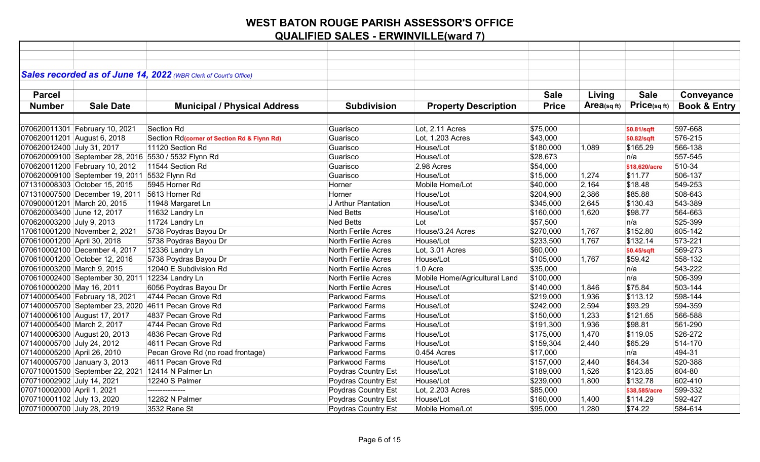|                              |                                                   | Sales recorded as of June 14, 2022 (WBR Clerk of Court's Office) |                            |                               |              |            |               |                         |
|------------------------------|---------------------------------------------------|------------------------------------------------------------------|----------------------------|-------------------------------|--------------|------------|---------------|-------------------------|
|                              |                                                   |                                                                  |                            |                               |              |            |               |                         |
| <b>Parcel</b>                |                                                   |                                                                  |                            |                               | <b>Sale</b>  | Living     | <b>Sale</b>   | Conveyance              |
| <b>Number</b>                | <b>Sale Date</b>                                  | <b>Municipal / Physical Address</b>                              | <b>Subdivision</b>         | <b>Property Description</b>   | <b>Price</b> | Area(sqft) | Price(sqft)   | <b>Book &amp; Entry</b> |
|                              |                                                   |                                                                  |                            |                               |              |            |               |                         |
|                              | 070620011301 February 10, 2021                    | Section Rd                                                       | Guarisco                   | Lot, 2.11 Acres               | \$75,000     |            | \$0.81/sqft   | 597-668                 |
| 070620011201 August 6, 2018  |                                                   | Section Rd(corner of Section Rd & Flynn Rd)                      | Guarisco                   | Lot, 1.203 Acres              | \$43,000     |            | \$0.82/sqft   | 576-215                 |
| 070620012400 July 31, 2017   |                                                   | 11120 Section Rd                                                 | Guarisco                   | House/Lot                     | \$180,000    | 1,089      | \$165.29      | 566-138                 |
|                              |                                                   | 070620009100 September 28, 2016 5530 / 5532 Flynn Rd             | Guarisco                   | House/Lot                     | \$28,673     |            | n/a           | 557-545                 |
|                              | 070620011200 February 10, 2012                    | 11544 Section Rd                                                 | Guarisco                   | 2.98 Acres                    | \$54,000     |            | \$18,620/acre | 510-34                  |
|                              | 070620009100 September 19, 2011                   | 5532 Flynn Rd                                                    | Guarisco                   | House/Lot                     | \$15,000     | 1,274      | \$11.77       | 506-137                 |
|                              | 071310008303 October 15, 2015                     | 5945 Horner Rd                                                   | Horner                     | Mobile Home/Lot               | \$40,000     | 2,164      | \$18.48       | 549-253                 |
|                              | 071310007500 December 19, 2011                    | 5613 Horner Rd                                                   | Horner                     | House/Lot                     | \$204,900    | 2,386      | \$85.88       | 508-643                 |
| 070900001201 March 20, 2015  |                                                   | 11948 Margaret Ln                                                | J Arthur Plantation        | House/Lot                     | \$345,000    | 2,645      | \$130.43      | 543-389                 |
| 070620003400 June 12, 2017   |                                                   | 11632 Landry Ln                                                  | <b>Ned Betts</b>           | House/Lot                     | \$160,000    | 1,620      | \$98.77       | 564-663                 |
| 070620003200 July 9, 2013    |                                                   | 11724 Landry Ln                                                  | <b>Ned Betts</b>           | Lot                           | \$57,500     |            | n/a           | 525-399                 |
|                              | 170610001200 November 2, 2021                     | 5738 Poydras Bayou Dr                                            | North Fertile Acres        | House/3.24 Acres              | \$270,000    | 1,767      | \$152.80      | 605-142                 |
| 070610001200 April 30, 2018  |                                                   | 5738 Poydras Bayou Dr                                            | North Fertile Acres        | House/Lot                     | \$233,500    | 1,767      | \$132.14      | 573-221                 |
|                              | 070610002100 December 4, 2017                     | 12336 Landry Ln                                                  | North Fertile Acres        | Lot, 3.01 Acres               | \$60,000     |            | \$0.45/sqft   | 569-273                 |
|                              | 070610001200 October 12, 2016                     | 5738 Poydras Bayou Dr                                            | <b>North Fertile Acres</b> | House/Lot                     | \$105,000    | 1,767      | \$59.42       | 558-132                 |
| 070610003200 March 9, 2015   |                                                   | 12040 E Subdivision Rd                                           | North Fertile Acres        | 1.0 Acre                      | \$35,000     |            | n/a           | 543-222                 |
|                              | 070610002400 September 30, 2011 12234 Landry Ln   |                                                                  | North Fertile Acres        | Mobile Home/Agricultural Land | \$100,000    |            | n/a           | 506-399                 |
| 070610000200 May 16, 2011    |                                                   | 6056 Poydras Bayou Dr                                            | North Fertile Acres        | House/Lot                     | \$140,000    | 1,846      | \$75.84       | 503-144                 |
|                              | 071400005400 February 18, 2021                    | 4744 Pecan Grove Rd                                              | Parkwood Farms             | House/Lot                     | \$219,000    | 1,936      | \$113.12      | 598-144                 |
|                              | 071400005700 September 23, 2020                   | 4611 Pecan Grove Rd                                              | Parkwood Farms             | House/Lot                     | \$242,000    | 2,594      | \$93.29       | 594-359                 |
| 071400006100 August 17, 2017 |                                                   | 4837 Pecan Grove Rd                                              | Parkwood Farms             | House/Lot                     | \$150,000    | 1,233      | \$121.65      | 566-588                 |
| 071400005400 March 2, 2017   |                                                   | 4744 Pecan Grove Rd                                              | Parkwood Farms             | House/Lot                     | \$191,300    | 1,936      | \$98.81       | 561-290                 |
|                              | 071400006300 August 20, 2013                      | 4836 Pecan Grove Rd                                              | Parkwood Farms             | House/Lot                     | \$175,000    | 1,470      | \$119.05      | 526-272                 |
| 071400005700 July 24, 2012   |                                                   | 4611 Pecan Grove Rd                                              | Parkwood Farms             | House/Lot                     | \$159,304    | 2,440      | \$65.29       | 514-170                 |
| 071400005200 April 26, 2010  |                                                   | Pecan Grove Rd (no road frontage)                                | Parkwood Farms             | 0.454 Acres                   | \$17,000     |            | n/a           | 494-31                  |
| 071400005700 January 3, 2013 |                                                   | 4611 Pecan Grove Rd                                              | Parkwood Farms             | House/Lot                     | \$157,000    | 2,440      | \$64.34       | 520-388                 |
|                              | 070710001500 September 22, 2021 12414 N Palmer Ln |                                                                  | Poydras Country Est        | House/Lot                     | \$189,000    | 1,526      | \$123.85      | 604-80                  |
| 070710002902 July 14, 2021   |                                                   | 12240 S Palmer                                                   | Poydras Country Est        | House/Lot                     | \$239,000    | 1,800      | \$132.78      | 602-410                 |
| 070710002000 April 1, 2021   |                                                   | ---------------                                                  | Poydras Country Est        | Lot, 2.203 Acres              | \$85,000     |            | \$38,585/acre | 599-332                 |
| 070710001102 July 13, 2020   |                                                   | 12282 N Palmer                                                   | Poydras Country Est        | House/Lot                     | \$160,000    | 1,400      | \$114.29      | 592-427                 |
| 070710000700 July 28, 2019   |                                                   | 3532 Rene St                                                     | Poydras Country Est        | Mobile Home/Lot               | \$95,000     | 1,280      | \$74.22       | 584-614                 |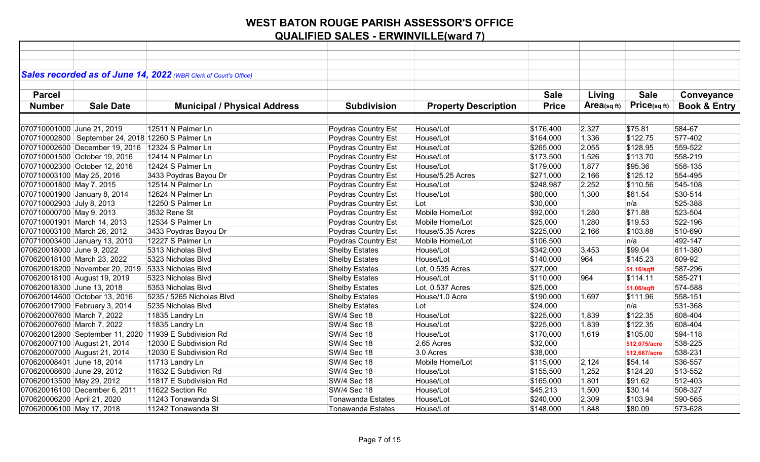|                             |                                                     | Sales recorded as of June 14, 2022 (WBR Clerk of Court's Office) |                          |                             |              |                |               |                         |
|-----------------------------|-----------------------------------------------------|------------------------------------------------------------------|--------------------------|-----------------------------|--------------|----------------|---------------|-------------------------|
|                             |                                                     |                                                                  |                          |                             |              |                |               |                         |
| <b>Parcel</b>               |                                                     |                                                                  |                          |                             | <b>Sale</b>  | Living         | <b>Sale</b>   | Conveyance              |
| <b>Number</b>               | <b>Sale Date</b>                                    | <b>Municipal / Physical Address</b>                              | <b>Subdivision</b>       | <b>Property Description</b> | <b>Price</b> | $Area$ (sq ft) | Price(sqft)   | <b>Book &amp; Entry</b> |
|                             |                                                     |                                                                  |                          |                             |              |                |               |                         |
|                             |                                                     |                                                                  |                          |                             |              |                |               |                         |
| 070710001000 June 21, 2019  |                                                     | 12511 N Palmer Ln                                                | Poydras Country Est      | House/Lot                   | \$176,400    | 2,327          | \$75.81       | 584-67                  |
|                             | 070710002800   September 24, 2018 12260 S Palmer Ln |                                                                  | Poydras Country Est      | House/Lot                   | \$164,000    | 1,336          | \$122.75      | 577-402                 |
|                             | 070710002600 December 19, 2016 12324 S Palmer Ln    |                                                                  | Poydras Country Est      | House/Lot                   | \$265,000    | 2,055          | \$128.95      | 559-522                 |
|                             | 070710001500 October 19, 2016                       | 12414 N Palmer Ln                                                | Poydras Country Est      | House/Lot                   | \$173,500    | 1,526          | \$113.70      | 558-219                 |
|                             | 070710002300 October 12, 2016                       | 12424 S Palmer Ln                                                | Poydras Country Est      | House/Lot                   | \$179,000    | 1,877          | \$95.36       | 558-135                 |
| 070710003100 May 25, 2016   |                                                     | 3433 Poydras Bayou Dr                                            | Poydras Country Est      | House/5.25 Acres            | \$271,000    | 2,166          | \$125.12      | 554-495                 |
| 070710001800 May 7, 2015    |                                                     | 12514 N Palmer Ln                                                | Poydras Country Est      | House/Lot                   | \$248,987    | 2,252          | \$110.56      | 545-108                 |
|                             | 070710001900 January 8, 2014                        | 12624 N Palmer Ln                                                | Poydras Country Est      | House/Lot                   | \$80,000     | 1,300          | \$61.54       | 530-514                 |
| 070710002903 July 8, 2013   |                                                     | 12250 S Palmer Ln                                                | Poydras Country Est      | Lot                         | \$30,000     |                | n/a           | 525-388                 |
| 070710000700 May 9, 2013    |                                                     | 3532 Rene St                                                     | Poydras Country Est      | Mobile Home/Lot             | \$92,000     | 1,280          | \$71.88       | 523-504                 |
|                             | 070710001901 March 14, 2013                         | 12534 S Palmer Ln                                                | Poydras Country Est      | Mobile Home/Lot             | \$25,000     | 1,280          | \$19.53       | 522-196                 |
|                             | 070710003100 March 26, 2012                         | 3433 Poydras Bayou Dr                                            | Poydras Country Est      | House/5.35 Acres            | \$225,000    | 2,166          | \$103.88      | 510-690                 |
|                             | 070710003400 January 13, 2010                       | 12227 S Palmer Ln                                                | Poydras Country Est      | Mobile Home/Lot             | \$106,500    |                | n/a           | 492-147                 |
| 070620018000 June 9, 2022   |                                                     | 5313 Nicholas Blvd                                               | <b>Shelby Estates</b>    | House/Lot                   | \$342,000    | 3,453          | \$99.04       | 611-380                 |
|                             | 070620018100 March 23, 2022                         | 5323 Nicholas Blvd                                               | <b>Shelby Estates</b>    | House/Lot                   | \$140,000    | 964            | \$145.23      | 609-92                  |
|                             | 070620018200 November 20, 2019 5333 Nicholas Blvd   |                                                                  | <b>Shelby Estates</b>    | Lot, 0.535 Acres            | \$27,000     |                | \$1.16/sqft   | 587-296                 |
|                             | 070620018100 August 19, 2019                        | 5323 Nicholas Blvd                                               | <b>Shelby Estates</b>    | House/Lot                   | \$110,000    | 964            | \$114.11      | 585-271                 |
| 070620018300 June 13, 2018  |                                                     | 5353 Nicholas Blvd                                               | <b>Shelby Estates</b>    | Lot, 0.537 Acres            | \$25,000     |                | \$1.06/sqft   | 574-588                 |
|                             | 070620014600 October 13, 2016                       | 5235 / 5265 Nicholas Blvd                                        | <b>Shelby Estates</b>    | House/1.0 Acre              | \$190,000    | 1,697          | \$111.96      | 558-151                 |
|                             | 070620017900 February 3, 2014                       | 5235 Nicholas Blvd                                               | <b>Shelby Estates</b>    | Lot                         | \$24,000     |                | n/a           | 531-368                 |
| 070620007600 March 7, 2022  |                                                     | 11835 Landry Ln                                                  | <b>SW/4 Sec 18</b>       | House/Lot                   | \$225,000    | 1,839          | \$122.35      | 608-404                 |
| 070620007600 March 7, 2022  |                                                     | 11835 Landry Ln                                                  | SW/4 Sec 18              | House/Lot                   | \$225,000    | 1,839          | \$122.35      | 608-404                 |
|                             |                                                     | 070620012800 September 11, 2020 11939 E Subdivision Rd           | <b>SW/4 Sec 18</b>       | House/Lot                   | \$170,000    | 1,619          | \$105.00      | 594-118                 |
|                             | 070620007100 August 21, 2014                        | 12030 E Subdivision Rd                                           | SW/4 Sec 18              | 2.65 Acres                  | \$32,000     |                | \$12,075/acre | 538-225                 |
|                             | 070620007000 August 21, 2014                        | 12030 E Subdivision Rd                                           | SW/4 Sec 18              | 3.0 Acres                   | \$38,000     |                | \$12,667/acre | 538-231                 |
| 070620008401 June 18, 2014  |                                                     | 11713 Landry Ln                                                  | SW/4 Sec 18              | Mobile Home/Lot             | \$115,000    | 2,124          | \$54.14       | 536-557                 |
| 070620008600 June 29, 2012  |                                                     | 11632 E Subdivion Rd                                             | <b>SW/4 Sec 18</b>       | House/Lot                   | \$155,500    | 1,252          | \$124.20      | 513-552                 |
| 070620013500 May 29, 2012   |                                                     | 11817 E Subdivision Rd                                           | <b>SW/4 Sec 18</b>       | House/Lot                   | \$165,000    | 1,801          | \$91.62       | 512-403                 |
|                             | 070620016100 December 6, 2011                       | 11622 Section Rd                                                 | SW/4 Sec 18              | House/Lot                   | \$45,213     | 1,500          | \$30.14       | 508-327                 |
| 070620006200 April 21, 2020 |                                                     | 11243 Tonawanda St                                               | <b>Tonawanda Estates</b> | House/Lot                   | \$240,000    | 2,309          | \$103.94      | 590-565                 |
| 070620006100 May 17, 2018   |                                                     | 11242 Tonawanda St                                               | Tonawanda Estates        | House/Lot                   | \$148,000    | 1,848          | \$80.09       | 573-628                 |
|                             |                                                     |                                                                  |                          |                             |              |                |               |                         |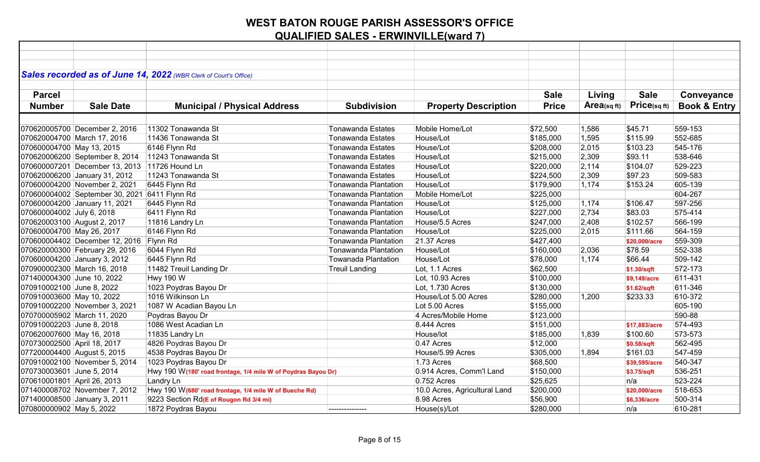|                             |                                               | Sales recorded as of June 14, 2022 (WBR Clerk of Court's Office) |                             |                               |              |            |               |                         |
|-----------------------------|-----------------------------------------------|------------------------------------------------------------------|-----------------------------|-------------------------------|--------------|------------|---------------|-------------------------|
| <b>Parcel</b>               |                                               |                                                                  |                             |                               | <b>Sale</b>  |            | <b>Sale</b>   |                         |
|                             |                                               |                                                                  |                             |                               |              | Living     |               | Conveyance              |
| <b>Number</b>               | <b>Sale Date</b>                              | <b>Municipal / Physical Address</b>                              | <b>Subdivision</b>          | <b>Property Description</b>   | <b>Price</b> | Area(sqft) | Price(sqft)   | <b>Book &amp; Entry</b> |
|                             |                                               |                                                                  |                             |                               |              |            |               |                         |
|                             | 070620005700 December 2, 2016                 | 11302 Tonawanda St                                               | <b>Tonawanda Estates</b>    | Mobile Home/Lot               | \$72,500     | 1,586      | \$45.71       | 559-153                 |
|                             | 070620004700 March 17, 2016                   | 11436 Tonawanda St                                               | <b>Tonawanda Estates</b>    | House/Lot                     | \$185,000    | 1,595      | \$115.99      | 552-685                 |
| 070600004700 May 13, 2015   |                                               | 6146 Flynn Rd                                                    | <b>Tonawanda Estates</b>    | House/Lot                     | \$208,000    | 2,015      | \$103.23      | 545-176                 |
|                             | 070620006200 September 8, 2014                | 11243 Tonawanda St                                               | <b>Tonawanda Estates</b>    | House/Lot                     | \$215,000    | 2,309      | \$93.11       | 538-646                 |
|                             | 070600007201 December 13, 2013 11726 Hound Ln |                                                                  | <b>Tonawanda Estates</b>    | House/Lot                     | \$220,000    | 2,114      | \$104.07      | 529-223                 |
|                             | 070620006200 January 31, 2012                 | 11243 Tonawanda St                                               | <b>Tonawanda Estates</b>    | House/Lot                     | \$224,500    | 2,309      | \$97.23       | 509-583                 |
|                             | 070600004200 November 2, 2021                 | 6445 Flynn Rd                                                    | Tonawanda Plantation        | House/Lot                     | \$179,900    | 1,174      | \$153.24      | 605-139                 |
|                             | 070600004002 September 30, 2021               | 6411 Flynn Rd                                                    | <b>Tonawanda Plantation</b> | Mobile Home/Lot               | \$225,000    |            |               | 604-267                 |
|                             | 070600004200 January 11, 2021                 | 6445 Flynn Rd                                                    | <b>Tonawanda Plantation</b> | House/Lot                     | \$125,000    | 1,174      | \$106.47      | 597-256                 |
| 070600004002 July 6, 2018   |                                               | 6411 Flynn Rd                                                    | <b>Tonawanda Plantation</b> | House/Lot                     | \$227,000    | 2,734      | \$83.03       | 575-414                 |
| 070620003100 August 2, 2017 |                                               | 11816 Landry Ln                                                  | <b>Tonawanda Plantation</b> | House/5.5 Acres               | \$247,000    | 2,408      | \$102.57      | 566-199                 |
| 070600004700 May 26, 2017   |                                               | 6146 Flynn Rd                                                    | <b>Tonawanda Plantation</b> | House/Lot                     | \$225,000    | 2,015      | \$111.66      | 564-159                 |
|                             | 070600004402 December 12, 2016 Flynn Rd       |                                                                  | <b>Tonawanda Plantation</b> | 21.37 Acres                   | \$427,400    |            | \$20,000/acre | 559-309                 |
|                             | 070620000300 February 29, 2016                | 6044 Flynn Rd                                                    | <b>Tonawanda Plantation</b> | House/Lot                     | \$160,000    | 2,036      | \$78.59       | 552-338                 |
|                             | 070600004200 January 3, 2012                  | 6445 Flynn Rd                                                    | <b>Towanada Plantation</b>  | House/Lot                     | \$78,000     | 1,174      | \$66.44       | 509-142                 |
|                             | 070900002300 March 16, 2018                   | 11482 Treuil Landing Dr                                          | <b>Treuil Landing</b>       | Lot, 1.1 Acres                | \$62,500     |            | \$1.30/sqft   | 572-173                 |
| 071400004300 June 10, 2022  |                                               | <b>Hwy 190 W</b>                                                 |                             | Lot, 10.93 Acres              | \$100,000    |            | \$9,149/acre  | 611-431                 |
| 070910002100 June 8, 2022   |                                               | 1023 Poydras Bayou Dr                                            |                             | Lot, 1.730 Acres              | \$130,000    |            | \$1.62/sqft   | 611-346                 |
| 070910003600 May 10, 2022   |                                               | 1016 Wilkinson Ln                                                |                             | House/Lot 5.00 Acres          | \$280,000    | 1,200      | \$233.33      | 610-372                 |
|                             | 070910002200 November 3, 2021                 | 1087 W Acadian Bayou Ln                                          |                             | Lot 5.00 Acres                | \$155,000    |            |               | 605-190                 |
|                             | 070700005902 March 11, 2020                   | Poydras Bayou Dr                                                 |                             | 4 Acres/Mobile Home           | \$123,000    |            |               | 590-88                  |
| 070910002203 June 8, 2018   |                                               | 1086 West Acadian Ln                                             |                             | 8.444 Acres                   | \$151,000    |            | \$17,883/acre | 574-493                 |
| 070620007600 May 16, 2018   |                                               | 11835 Landry Ln                                                  |                             | House/lot                     | \$185,000    | 1,839      | \$100.60      | 573-573                 |
| 070730002500 April 18, 2017 |                                               | 4826 Poydras Bayou Dr                                            |                             | 0.47 Acres                    | \$12,000     |            | \$0.58/sqft   | 562-495                 |
| 077200004400 August 5, 2015 |                                               | 4538 Poydras Bayou Dr                                            |                             | House/5.99 Acres              | \$305,000    | 1,894      | \$161.03      | 547-459                 |
|                             | 070910002100 November 5, 2014                 | 1023 Poydras Bayou Dr                                            |                             | 1.73 Acres                    | \$68,500     |            | \$39,595/acre | 540-347                 |
| 070730003601 June 5, 2014   |                                               | Hwy 190 W(180' road frontage, 1/4 mile W of Poydras Bayou Dr)    |                             | 0.914 Acres, Comm'l Land      | \$150,000    |            | \$3.75/sqft   | 536-251                 |
| 070610001801 April 26, 2013 |                                               | Landry Ln                                                        |                             | 0.752 Acres                   | \$25,625     |            | n/a           | 523-224                 |
|                             | 071400008702 November 7, 2012                 | Hwy 190 W(680' road frontage, 1/4 mile W of Bueche Rd)           |                             | 10.0 Acres, Agricultural Land | \$200,000    |            | \$20,000/acre | 518-653                 |
|                             | 071400008500 January 3, 2011                  | 9223 Section Rd(E of Rougon Rd 3/4 mi)                           |                             | 8.98 Acres                    | \$56,900     |            | \$6,336/acre  | 500-314                 |
| 070800000902 May 5, 2022    |                                               | 1872 Poydras Bayou                                               | ---------------             | House(s)/Lot                  | \$280,000    |            | n/a           | 610-281                 |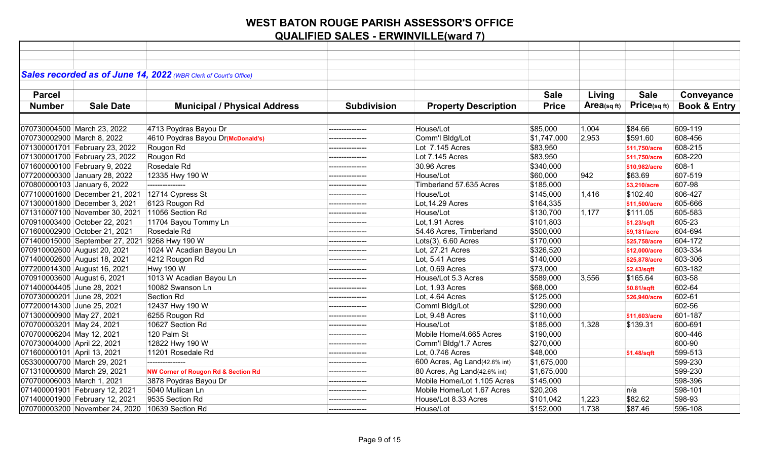| Sales recorded as of June 14, 2022 (WBR Clerk of Court's Office) |                                                |                    |                               |              |            |               |                         |
|------------------------------------------------------------------|------------------------------------------------|--------------------|-------------------------------|--------------|------------|---------------|-------------------------|
|                                                                  |                                                |                    |                               |              |            |               |                         |
| <b>Parcel</b>                                                    |                                                |                    |                               | <b>Sale</b>  | Living     | <b>Sale</b>   | Conveyance              |
| <b>Number</b><br><b>Sale Date</b>                                | <b>Municipal / Physical Address</b>            | <b>Subdivision</b> | <b>Property Description</b>   | <b>Price</b> | Area(sqft) | Price(sqft)   | <b>Book &amp; Entry</b> |
|                                                                  |                                                |                    |                               |              |            |               |                         |
| 070730004500 March 23, 2022                                      | 4713 Poydras Bayou Dr                          | ---------------    | House/Lot                     | \$85,000     | 1,004      | \$84.66       | 609-119                 |
| 070730002900 March 8, 2022                                       | 4610 Poydras Bayou Dr(McDonald's)              |                    | Comm'l Bldg/Lot               | \$1,747,000  | 2.953      | \$591.60      | 608-456                 |
| 071300001701 February 23, 2022                                   | Rougon Rd                                      | ---------------    | Lot 7.145 Acres               | \$83,950     |            | \$11,750/acre | 608-215                 |
| 071300001700 February 23, 2022                                   | Rougon Rd                                      |                    | Lot 7.145 Acres               | \$83,950     |            | \$11,750/acre | 608-220                 |
| 071600000100 February 9, 2022                                    | Rosedale Rd                                    | --------------     | 30.96 Acres                   | \$340,000    |            | \$10,982/acre | 608-1                   |
| 077200000300 January 28, 2022                                    | 12335 Hwy 190 W                                |                    | House/Lot                     | \$60,000     | 942        | \$63.69       | 607-519                 |
| 070800000103 January 6, 2022                                     | ---------------                                |                    | Timberland 57.635 Acres       | \$185,000    |            | \$3,210/acre  | 607-98                  |
| 077100001600 December 21, 2021                                   | 12714 Cypress St                               |                    | House/Lot                     | \$145,000    | 1,416      | \$102.40      | 606-427                 |
| 071300001800 December 3, 2021                                    | 6123 Rougon Rd                                 |                    | Lot, 14.29 Acres              | \$164,335    |            | \$11,500/acre | 605-666                 |
| 071310007100 November 30, 2021 11056 Section Rd                  |                                                | ---------------    | House/Lot                     | \$130,700    | 1,177      | \$111.05      | 605-583                 |
| 070910003400 October 22, 2021                                    | 11704 Bayou Tommy Ln                           |                    | Lot, 1.91 Acres               | \$101,803    |            | \$1.23/sqft   | 605-23                  |
| 071600002900 October 21, 2021                                    | Rosedale Rd                                    | --------------     | 54.46 Acres, Timberland       | \$500,000    |            | \$9,181/acre  | 604-694                 |
| 071400015000 September 27, 2021                                  | 9268 Hwy 190 W                                 | ---------------    | $Lots(3)$ , 6.60 Acres        | \$170,000    |            | \$25,758/acre | 604-172                 |
| 070910002600 August 20, 2021                                     | 1024 W Acadian Bayou Ln                        | ---------------    | Lot, 27.21 Acres              | \$326,520    |            | \$12,000/acre | 603-334                 |
| 071400002600 August 18, 2021                                     | 4212 Rougon Rd                                 | ---------------    | Lot, 5.41 Acres               | \$140,000    |            | \$25,878/acre | 603-306                 |
| 077200014300 August 16, 2021                                     | <b>Hwy 190 W</b>                               |                    | Lot, 0.69 Acres               | \$73,000     |            | \$2.43/sqft   | 603-182                 |
| 070910003600 August 6, 2021                                      | 1013 W Acadian Bayou Ln                        |                    | House/Lot 5.3 Acres           | \$589,000    | 3,556      | \$165.64      | 603-58                  |
| 071400004405 June 28, 2021                                       | 10082 Swanson Ln                               | ---------------    | Lot, 1.93 Acres               | \$68,000     |            | \$0.81/sqft   | 602-64                  |
| 070730000201 June 28, 2021                                       | <b>Section Rd</b>                              |                    | Lot, 4.64 Acres               | \$125,000    |            | \$26,940/acre | 602-61                  |
| 077200014300 June 25, 2021                                       | 12437 Hwy 190 W                                | --------------     | Comml Bldg/Lot                | \$290,000    |            |               | 602-56                  |
| 071300000900 May 27, 2021                                        | 6255 Rougon Rd                                 | ---------------    | Lot, 9.48 Acres               | \$110,000    |            | \$11,603/acre | 601-187                 |
| 070700003201 May 24, 2021                                        | 10627 Section Rd                               |                    | House/Lot                     | \$185,000    | 1,328      | \$139.31      | 600-691                 |
| 070700006204 May 12, 2021                                        | 120 Palm St                                    | ---------------    | Mobile Home/4.665 Acres       | \$190,000    |            |               | 600-446                 |
| 070730004000 April 22, 2021                                      | 12822 Hwy 190 W                                |                    | Comm'l Bldg/1.7 Acres         | \$270,000    |            |               | 600-90                  |
| 071600000101 April 13, 2021                                      | 11201 Rosedale Rd                              | ---------------    | Lot, 0.746 Acres              | \$48,000     |            | \$1.48/sqft   | 599-513                 |
| 053300000700 March 29, 2021                                      | ---------------                                |                    | 600 Acres, Ag Land(42.6% int) | \$1,675,000  |            |               | 599-230                 |
| 071310000600 March 29, 2021                                      | <b>NW Corner of Rougon Rd &amp; Section Rd</b> | ---------------    | 80 Acres, Ag Land(42.6% int)  | \$1,675,000  |            |               | 599-230                 |
| 070700006003 March 1, 2021                                       | 3878 Poydras Bayou Dr                          | ---------------    | Mobile Home/Lot 1.105 Acres   | \$145,000    |            |               | 598-396                 |
| 071400001901 February 12, 2021                                   | 5040 Mullican Ln                               |                    | Mobile Home/Lot 1.67 Acres    | \$20,208     |            | n/a           | 598-101                 |
| 071400001900 February 12, 2021                                   | 9535 Section Rd                                | ---------------    | House/Lot 8.33 Acres          | \$101,042    | 1,223      | \$82.62       | 598-93                  |
| 070700003200 November 24, 2020 10639 Section Rd                  |                                                | ---------------    | House/Lot                     | \$152,000    | 1,738      | \$87.46       | 596-108                 |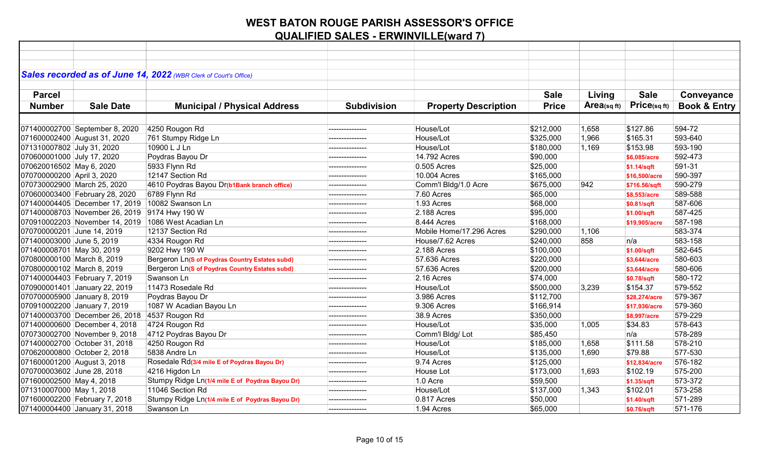|                             |                                                 | Sales recorded as of June 14, 2022 (WBR Clerk of Court's Office) |                    |                             |              |                |                   |                         |
|-----------------------------|-------------------------------------------------|------------------------------------------------------------------|--------------------|-----------------------------|--------------|----------------|-------------------|-------------------------|
|                             |                                                 |                                                                  |                    |                             |              |                |                   |                         |
| <b>Parcel</b>               |                                                 |                                                                  |                    |                             | <b>Sale</b>  | Living         | <b>Sale</b>       | Conveyance              |
| <b>Number</b>               | <b>Sale Date</b>                                | <b>Municipal / Physical Address</b>                              | <b>Subdivision</b> | <b>Property Description</b> | <b>Price</b> | Area(sq $ft$ ) | $Price_{(sq ft)}$ | <b>Book &amp; Entry</b> |
|                             |                                                 |                                                                  |                    |                             |              |                |                   |                         |
|                             | 071400002700 September 8, 2020                  | 4250 Rougon Rd                                                   | --------------     | House/Lot                   | \$212,000    | 1,658          | \$127.86          | 594-72                  |
|                             | 071600002400 August 31, 2020                    | 761 Stumpy Ridge Ln                                              | ---------------    | House/Lot                   | \$325,000    | 1,966          | \$165.31          | 593-640                 |
| 071310007802 July 31, 2020  |                                                 | 10900 L J Ln                                                     |                    | House/Lot                   | \$180,000    | 1,169          | \$153.98          | 593-190                 |
| 070600001000 July 17, 2020  |                                                 | Poydras Bayou Dr                                                 | ---------------    | 14.792 Acres                | \$90,000     |                | \$6,085/acre      | 592-473                 |
| 070620016502 May 6, 2020    |                                                 | 5933 Flynn Rd                                                    | ---------------    | 0.505 Acres                 | \$25,000     |                | \$1.14/sqft       | 591-31                  |
| 070700000200 April 3, 2020  |                                                 | 12147 Section Rd                                                 | --------------     | 10.004 Acres                | \$165,000    |                | \$16,500/acre     | 590-397                 |
|                             | 070730002900 March 25, 2020                     | 4610 Poydras Bayou Dr(b1Bank branch office)                      | ---------------    | Comm'l Bldg/1.0 Acre        | \$675,000    | 942            | \$716.56/sqft     | 590-279                 |
|                             | 070600003400 February 28, 2020                  | 6789 Flynn Rd                                                    |                    | 7.60 Acres                  | \$65,000     |                | \$8,553/acre      | 589-588                 |
|                             | 071400004405 December 17, 2019 10082 Swanson Ln |                                                                  | ---------------    | 1.93 Acres                  | \$68,000     |                | \$0.81/sqft       | 587-606                 |
|                             | 071400008703 November 26, 2019 9174 Hwy 190 W   |                                                                  |                    | 2.188 Acres                 | \$95,000     |                | \$1.00/sqft       | 587-425                 |
|                             |                                                 | 070910002203 November 14, 2019 1086 West Acadian Ln              | ---------------    | 8.444 Acres                 | \$168,000    |                | \$19,905/acre     | 587-198                 |
| 070700000201 June 14, 2019  |                                                 | 12137 Section Rd                                                 | ---------------    | Mobile Home/17.296 Acres    | \$290,000    | 1,106          |                   | 583-374                 |
| 071400003000 June 5, 2019   |                                                 | 4334 Rougon Rd                                                   |                    | House/7.62 Acres            | \$240,000    | 858            | n/a               | 583-158                 |
| 071400008701 May 30, 2019   |                                                 | 9202 Hwy 190 W                                                   | ---------------    | 2.188 Acres                 | \$100,000    |                | \$1.00/sqft       | 582-645                 |
| 070800000100 March 8, 2019  |                                                 | Bergeron Ln(S of Poydras Country Estates subd)                   | ---------------    | 57.636 Acres                | \$220,000    |                | \$3,644/acre      | 580-603                 |
| 070800000102 March 8, 2019  |                                                 | Bergeron Ln(S of Poydras Country Estates subd)                   |                    | 57.636 Acres                | \$200,000    |                | \$3,644/acre      | 580-606                 |
|                             | 071400004403 February 7, 2019                   | Swanson Ln                                                       | ---------------    | 2.16 Acres                  | \$74,000     |                | \$0.78/sqft       | 580-172                 |
|                             | 070900001401 January 22, 2019                   | 11473 Rosedale Rd                                                |                    | House/Lot                   | \$500,000    | 3,239          | \$154.37          | 579-552                 |
|                             | 070700005900 January 8, 2019                    | Poydras Bayou Dr                                                 | ---------------    | 3.986 Acres                 | \$112,700    |                | \$28,274/acre     | 579-367                 |
|                             | 070910002200 January 7, 2019                    | 1087 W Acadian Bayou Ln                                          |                    | 9.306 Acres                 | \$166,914    |                | \$17,936/acre     | 579-360                 |
|                             | 071400003700 December 26, 2018                  | 4537 Rougon Rd                                                   | ---------------    | 38.9 Acres                  | \$350,000    |                | \$8,997/acre      | 579-229                 |
|                             | 071400000600 December 4, 2018                   | 4724 Rougon Rd                                                   |                    | House/Lot                   | \$35,000     | 1,005          | \$34.83           | 578-643                 |
|                             | 070730002700 November 9, 2018                   | 4712 Poydras Bayou Dr                                            | --------------     | Comm'l Bldg/Lot             | \$85,450     |                | n/a               | 578-289                 |
|                             | 071400002700 October 31, 2018                   | 4250 Rougon Rd                                                   |                    | House/Lot                   | \$185,000    | 1,658          | \$111.58          | 578-210                 |
|                             | 070620000800 October 2, 2018                    | 5838 Andre Ln                                                    |                    | House/Lot                   | \$135,000    | 1,690          | \$79.88           | 577-530                 |
| 071600001200 August 3, 2018 |                                                 | Rosedale Rd(3/4 mile E of Poydras Bayou Dr)                      |                    | 9.74 Acres                  | \$125,000    |                | \$12,834/acre     | 576-182                 |
| 070700003602 June 28, 2018  |                                                 | 4216 Higdon Ln                                                   |                    | House Lot                   | \$173,000    | 1,693          | \$102.19          | 575-200                 |
| 071600002500 May 4, 2018    |                                                 | Stumpy Ridge Ln(1/4 mile E of Poydras Bayou Dr)                  | ---------------    | 1.0 Acre                    | \$59,500     |                | \$1.35/sqft       | 573-372                 |
| 071310007000 May 1, 2018    |                                                 | 11046 Section Rd                                                 |                    | House/Lot                   | \$137,000    | 1,343          | \$102.01          | 573-258                 |
|                             | 071600002200 February 7, 2018                   | Stumpy Ridge Ln(1/4 mile E of Poydras Bayou Dr)                  | ---------------    | 0.817 Acres                 | \$50,000     |                | \$1.40/sqft       | 571-289                 |
|                             | 071400004400 January 31, 2018                   | Swanson Ln                                                       |                    | 1.94 Acres                  | \$65,000     |                | \$0.76/sqft       | 571-176                 |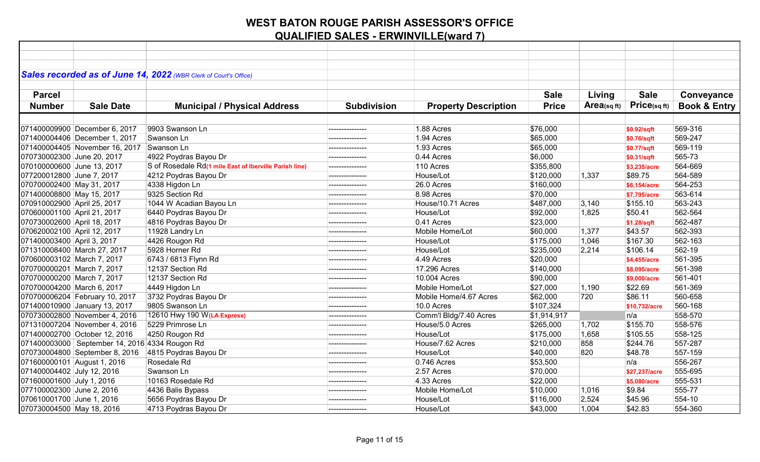| Sales recorded as of June 14, 2022 (WBR Clerk of Court's Office) |                                                        |                    |                             |              |            |               |                         |
|------------------------------------------------------------------|--------------------------------------------------------|--------------------|-----------------------------|--------------|------------|---------------|-------------------------|
|                                                                  |                                                        |                    |                             |              |            |               |                         |
| <b>Parcel</b>                                                    |                                                        |                    |                             | <b>Sale</b>  | Living     | <b>Sale</b>   | Conveyance              |
| <b>Number</b><br><b>Sale Date</b>                                | <b>Municipal / Physical Address</b>                    | <b>Subdivision</b> | <b>Property Description</b> | <b>Price</b> | Area(sqft) | Price(sqft)   | <b>Book &amp; Entry</b> |
|                                                                  |                                                        |                    |                             |              |            |               |                         |
| 071400009900 December 6, 2017                                    | 9903 Swanson Ln                                        | .                  | 1.88 Acres                  | \$76,000     |            | \$0.92/sqft   | 569-316                 |
| 071400004406 December 1, 2017                                    | Swanson Ln                                             | ______________     | 1.94 Acres                  | \$65,000     |            | \$0.76/sqft   | 569-247                 |
| 071400004405 November 16, 2017                                   | Swanson Ln                                             |                    | 1.93 Acres                  | \$65,000     |            | \$0.77/sqft   | 569-119                 |
| 070730002300 June 20, 2017                                       | 4922 Poydras Bayou Dr                                  | --------------     | 0.44 Acres                  | \$6,000      |            | \$0.31/sqft   | 565-73                  |
| 070100000600 June 13, 2017                                       | S of Rosedale Rd(1 mile East of Iberville Parish line) |                    | 110 Acres                   | \$355,800    |            | \$3,235/acre  | 564-669                 |
| 077200012800 June 7, 2017                                        | 4212 Poydras Bayou Dr                                  | --------------     | House/Lot                   | \$120,000    | 1,337      | \$89.75       | 564-589                 |
| 070700002400 May 31, 2017                                        | 4338 Higdon Ln                                         | ---------------    | 26.0 Acres                  | \$160,000    |            | \$6,154/acre  | 564-253                 |
| 071400008800 May 15, 2017                                        | 9325 Section Rd                                        |                    | 8.98 Acres                  | \$70,000     |            | \$7,795/acre  | 563-614                 |
| 070910002900 April 25, 2017                                      | 1044 W Acadian Bayou Ln                                |                    | House/10.71 Acres           | \$487,000    | 3,140      | \$155.10      | 563-243                 |
| 070600001100 April 21, 2017                                      | 6440 Poydras Bayou Dr                                  |                    | House/Lot                   | \$92,000     | 1,825      | \$50.41       | 562-564                 |
| 070730002600 April 18, 2017                                      | 4816 Poydras Bayou Dr                                  | ---------------    | 0.41 Acres                  | \$23,000     |            | \$1.28/sqft   | 562-487                 |
| 070620002100 April 12, 2017                                      | 11928 Landry Ln                                        |                    | Mobile Home/Lot             | \$60,000     | 1,377      | \$43.57       | 562-393                 |
| 071400003400 April 3, 2017                                       | 4426 Rougon Rd                                         | ---------------    | House/Lot                   | \$175,000    | 1,046      | \$167.30      | 562-163                 |
| 071310008400 March 27, 2017                                      | 5928 Horner Rd                                         | ---------------    | House/Lot                   | \$235,000    | 2,214      | \$106.14      | 562-19                  |
| 070600003102 March 7, 2017                                       | 6743 / 6813 Flynn Rd                                   | ---------------    | 4.49 Acres                  | \$20,000     |            | \$4,455/acre  | 561-395                 |
| 070700000201 March 7, 2017                                       | 12137 Section Rd                                       |                    | 17.296 Acres                | \$140,000    |            | \$8,095/acre  | 561-398                 |
| 070700000200 March 7, 2017                                       | 12137 Section Rd                                       | ---------------    | 10.004 Acres                | \$90,000     |            | \$9,000/acre  | 561-401                 |
| 070700004200 March 6, 2017                                       | 4449 Higdon Ln                                         |                    | Mobile Home/Lot             | \$27,000     | 1,190      | \$22.69       | 561-369                 |
| 070700006204 February 10, 2017                                   | 3732 Poydras Bayou Dr                                  | --------------     | Mobile Home/4.67 Acres      | \$62,000     | 720        | \$86.11       | 560-658                 |
| 071400010900 January 13, 2017                                    | 9805 Swanson Ln                                        | --------------     | 10.0 Acres                  | \$107,324    |            | \$10,732/acre | 560-168                 |
| 070730002800 November 4, 2016                                    | 12610 Hwy 190 W(LA Express)                            | --------------     | Comm'l Bldg/7.40 Acres      | \$1,914,917  |            | n/a           | 558-570                 |
| 071310007204 November 4, 2016                                    | 5229 Primrose Ln                                       | ---------------    | House/5.0 Acres             | \$265,000    | 1,702      | \$155.70      | 558-576                 |
| 071400002700 October 12, 2016                                    | 4250 Rougon Rd                                         |                    | House/Lot                   | \$175,000    | 1,658      | \$105.55      | 558-125                 |
| 071400003000 September 14, 2016 4334 Rougon Rd                   |                                                        | ---------------    | House/7.62 Acres            | \$210,000    | 858        | \$244.76      | 557-287                 |
| 070730004800 September 8, 2016                                   | 4815 Poydras Bayou Dr                                  | ---------------    | House/Lot                   | \$40,000     | 820        | \$48.78       | 557-159                 |
| 071600000101 August 1, 2016                                      | Rosedale Rd                                            | ---------------    | 0.746 Acres                 | \$53,500     |            | n/a           | 556-267                 |
| 071400004402 July 12, 2016                                       | Swanson Ln                                             | ---------------    | 2.57 Acres                  | \$70,000     |            | \$27,237/acre | 555-695                 |
| 071600001600 July 1, 2016                                        | 10163 Rosedale Rd                                      | --------------     | 4.33 Acres                  | \$22,000     |            | \$5,080/acre  | 555-531                 |
| 077100002300 June 2, 2016                                        | 4436 Balis Bypass                                      | ---------------    | Mobile Home/Lot             | \$10,000     | 1,016      | \$9.84        | 555-77                  |
| 070610001700 June 1, 2016                                        | 5656 Poydras Bayou Dr                                  |                    | House/Lot                   | \$116,000    | 2,524      | \$45.96       | 554-10                  |
| 070730004500 May 18, 2016                                        | 4713 Poydras Bayou Dr                                  | ---------------    | House/Lot                   | \$43,000     | 1,004      | \$42.83       | 554-360                 |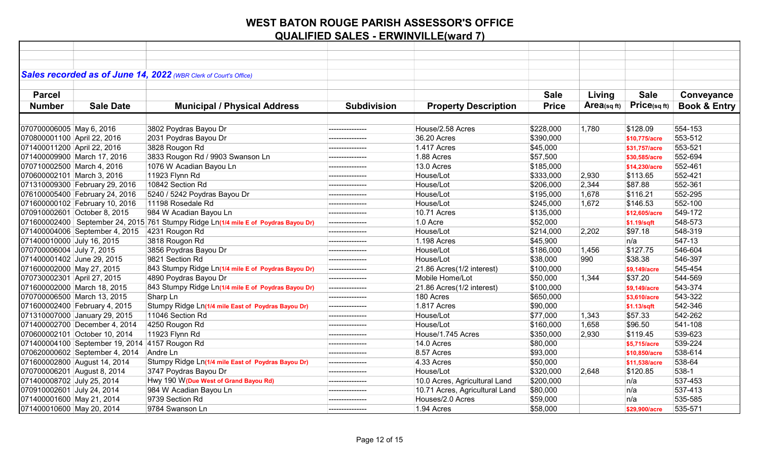|                             |                                 | Sales recorded as of June 14, 2022 (WBR Clerk of Court's Office)                    |                    |                                |              |            |                   |                         |
|-----------------------------|---------------------------------|-------------------------------------------------------------------------------------|--------------------|--------------------------------|--------------|------------|-------------------|-------------------------|
|                             |                                 |                                                                                     |                    |                                |              |            |                   |                         |
| <b>Parcel</b>               |                                 |                                                                                     |                    |                                | <b>Sale</b>  | Living     | <b>Sale</b>       | Conveyance              |
| <b>Number</b>               | <b>Sale Date</b>                | <b>Municipal / Physical Address</b>                                                 | <b>Subdivision</b> | <b>Property Description</b>    | <b>Price</b> | Area(sqft) | $Price_{(sq ft)}$ | <b>Book &amp; Entry</b> |
|                             |                                 |                                                                                     |                    |                                |              |            |                   |                         |
| 070700006005 May 6, 2016    |                                 | 3802 Poydras Bayou Dr                                                               | --------------     | House/2.58 Acres               | \$228,000    | 1,780      | \$128.09          | 554-153                 |
| 070800001100 April 22, 2016 |                                 | 2031 Poydras Bayou Dr                                                               | ---------------    | 36.20 Acres                    | \$390,000    |            | \$10,775/acre     | 553-512                 |
| 071400011200 April 22, 2016 |                                 | 3828 Rougon Rd                                                                      | ---------------    | 1.417 Acres                    | \$45,000     |            | \$31,757/acre     | 553-521                 |
|                             | 071400009900 March 17, 2016     | 3833 Rougon Rd / 9903 Swanson Ln                                                    |                    | 1.88 Acres                     | \$57,500     |            | \$30,585/acre     | 552-694                 |
| 070710002500 March 4, 2016  |                                 | 1076 W Acadian Bayou Ln                                                             | --------------     | 13.0 Acres                     | \$185,000    |            | \$14,230/acre     | 552-461                 |
| 070600002101 March 3, 2016  |                                 | 11923 Flynn Rd                                                                      |                    | House/Lot                      | \$333,000    | 2,930      | \$113.65          | 552-421                 |
|                             | 071310009300 February 29, 2016  | 10842 Section Rd                                                                    | ---------------    | House/Lot                      | \$206,000    | 2,344      | \$87.88           | 552-361                 |
|                             | 076100005400 February 24, 2016  | 5240 / 5242 Poydras Bayou Dr                                                        |                    | House/Lot                      | \$195,000    | 1,678      | \$116.21          | 552-295                 |
|                             | 071600000102 February 10, 2016  | 11198 Rosedale Rd                                                                   | ---------------    | House/Lot                      | \$245,000    | 1,672      | \$146.53          | 552-100                 |
|                             | 070910002601 October 8, 2015    | 984 W Acadian Bayou Ln                                                              |                    | 10.71 Acres                    | \$135,000    |            | \$12,605/acre     | 549-172                 |
|                             |                                 | 071600002400 September 24, 2015 761 Stumpy Ridge Ln(1/4 mile E of Poydras Bayou Dr) | ---------------    | 1.0 Acre                       | \$52,000     |            | \$1.19/sqft       | 548-573                 |
|                             | 071400004006 September 4, 2015  | 4231 Rougon Rd                                                                      | ---------------    | House/Lot                      | \$214,000    | 2,202      | \$97.18           | 548-319                 |
| 071400010000 July 16, 2015  |                                 | 3818 Rougon Rd                                                                      | ---------------    | 1.198 Acres                    | \$45,900     |            | n/a               | 547-13                  |
| 070700006004 July 7, 2015   |                                 | 3856 Poydras Bayou Dr                                                               |                    | House/Lot                      | \$186,000    | 1,456      | \$127.75          | 546-604                 |
| 071400001402 June 29, 2015  |                                 | 9821 Section Rd                                                                     | ---------------    | House/Lot                      | \$38,000     | 990        | \$38.38           | 546-397                 |
| 071600002000 May 27, 2015   |                                 | 843 Stumpy Ridge Ln(1/4 mile E of Poydras Bayou Dr)                                 |                    | 21.86 Acres(1/2 interest)      | \$100,000    |            | \$9,149/acre      | 545-454                 |
| 070730002301 April 27, 2015 |                                 | 4890 Poydras Bayou Dr                                                               |                    | Mobile Home/Lot                | \$50,000     | 1,344      | \$37.20           | 544-569                 |
|                             | 071600002000 March 18, 2015     | 843 Stumpy Ridge Ln(1/4 mile E of Poydras Bayou Dr)                                 | ---------------    | 21.86 Acres(1/2 interest)      | \$100,000    |            | \$9,149/acre      | 543-374                 |
|                             | 070700006500 March 13, 2015     | Sharp Ln                                                                            | --------------     | 180 Acres                      | \$650,000    |            | \$3,610/acre      | 543-322                 |
|                             | 071600002400 February 4, 2015   | Stumpy Ridge Ln(1/4 mile East of Poydras Bayou Dr)                                  | ---------------    | 1.817 Acres                    | \$90,000     |            | \$1.13/sqft       | 542-346                 |
|                             | 071310007000 January 29, 2015   | 11046 Section Rd                                                                    | --------------     | House/Lot                      | \$77,000     | 1,343      | \$57.33           | 542-262                 |
|                             | 071400002700 December 4, 2014   | 4250 Rougon Rd                                                                      | ---------------    | House/Lot                      | \$160,000    | 1,658      | \$96.50           | 541-108                 |
|                             | 070600002101 October 10, 2014   | 11923 Flynn Rd                                                                      | ---------------    | House/1.745 Acres              | \$350,000    | 2,930      | \$119.45          | 539-623                 |
|                             | 071400004100 September 19, 2014 | 4157 Rougon Rd                                                                      | ---------------    | 14.0 Acres                     | \$80,000     |            | \$5,715/acre      | 539-224                 |
|                             | 070620000602 September 4, 2014  | Andre Ln                                                                            | ---------------    | 8.57 Acres                     | \$93,000     |            | \$10,850/acre     | 538-614                 |
|                             | 071600002800 August 14, 2014    | Stumpy Ridge Ln(1/4 mile East of Poydras Bayou Dr)                                  | ---------------    | 4.33 Acres                     | \$50,000     |            | \$11,538/acre     | 538-64                  |
| 070700006201 August 8, 2014 |                                 | 3747 Poydras Bayou Dr                                                               | ---------------    | House/Lot                      | \$320,000    | 2,648      | \$120.85          | 538-1                   |
| 071400008702 July 25, 2014  |                                 | Hwy 190 W (Due West of Grand Bayou Rd)                                              | ---------------    | 10.0 Acres, Agricultural Land  | \$200,000    |            | n/a               | 537-453                 |
| 070910002601 July 24, 2014  |                                 | 984 W Acadian Bayou Ln                                                              | ---------------    | 10.71 Acres, Agricultural Land | \$80,000     |            | n/a               | 537-413                 |
| 071400001600 May 21, 2014   |                                 | 9739 Section Rd                                                                     |                    | Houses/2.0 Acres               | \$59,000     |            | n/a               | 535-585                 |
| 071400010600 May 20, 2014   |                                 | 9784 Swanson Ln                                                                     | ---------------    | 1.94 Acres                     | \$58,000     |            | \$29,900/acre     | 535-571                 |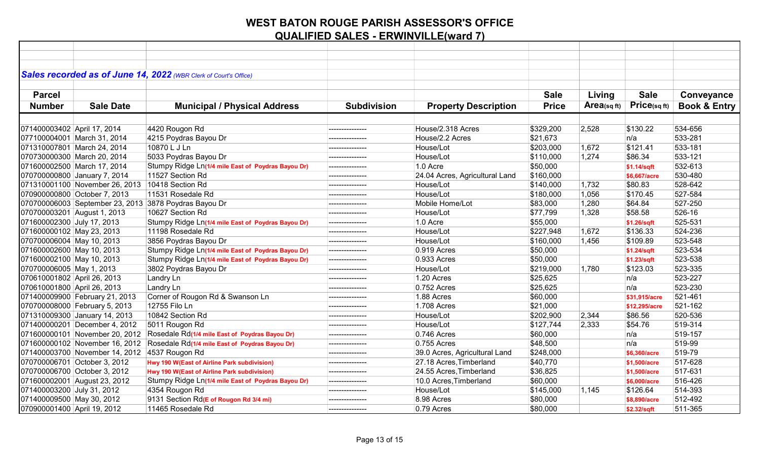|                             |                                               | Sales recorded as of June 14, 2022 (WBR Clerk of Court's Office) |                    |                                |              |            |               |                         |
|-----------------------------|-----------------------------------------------|------------------------------------------------------------------|--------------------|--------------------------------|--------------|------------|---------------|-------------------------|
|                             |                                               |                                                                  |                    |                                |              |            |               |                         |
| <b>Parcel</b>               |                                               |                                                                  |                    |                                | <b>Sale</b>  | Living     | <b>Sale</b>   | Conveyance              |
| <b>Number</b>               | <b>Sale Date</b>                              | <b>Municipal / Physical Address</b>                              | <b>Subdivision</b> | <b>Property Description</b>    | <b>Price</b> | Area(sqft) | Price(sqft)   | <b>Book &amp; Entry</b> |
|                             |                                               |                                                                  |                    |                                |              |            |               |                         |
| 071400003402 April 17, 2014 |                                               | 4420 Rougon Rd                                                   | ---------------    | House/2.318 Acres              | \$329,200    | 2,528      | \$130.22      | 534-656                 |
|                             | 077100004001 March 31, 2014                   | 4215 Poydras Bayou Dr                                            | ---------------    | House/2.2 Acres                | \$21,673     |            | n/a           | 533-281                 |
|                             | 071310007801 March 24, 2014                   | 10870 L J Ln                                                     |                    | House/Lot                      | \$203,000    | 1,672      | \$121.41      | 533-181                 |
|                             | 070730000300 March 20, 2014                   | 5033 Poydras Bayou Dr                                            |                    | House/Lot                      | \$110,000    | 1,274      | \$86.34       | 533-121                 |
|                             | 071600002500 March 17, 2014                   | Stumpy Ridge Ln(1/4 mile East of Poydras Bayou Dr)               | --------------     | $1.0$ Acre                     | \$50,000     |            | \$1.14/sqft   | 532-613                 |
|                             | 070700000800 January 7, 2014                  | 11527 Section Rd                                                 |                    | 24.04 Acres, Agricultural Land | \$160,000    |            | \$6,667/acre  | 530-480                 |
|                             | 071310001100 November 26, 2013                | 10418 Section Rd                                                 | ---------------    | House/Lot                      | \$140,000    | 1,732      | \$80.83       | 528-642                 |
|                             | 070900000800 October 7, 2013                  | 11531 Rosedale Rd                                                |                    | House/Lot                      | \$180,000    | 1,056      | \$170.45      | 527-584                 |
|                             |                                               | 070700006003 September 23, 2013 3878 Poydras Bayou Dr            | ---------------    | Mobile Home/Lot                | \$83,000     | 1,280      | \$64.84       | 527-250                 |
| 070700003201 August 1, 2013 |                                               | 10627 Section Rd                                                 |                    | House/Lot                      | \$77,799     | 1,328      | \$58.58       | 526-16                  |
| 071600002300 July 17, 2013  |                                               | Stumpy Ridge Ln(1/4 mile East of Poydras Bayou Dr)               | ---------------    | 1.0 Acre                       | \$55,000     |            | \$1.26/sqft   | 525-531                 |
| 071600000102 May 23, 2013   |                                               | 11198 Rosedale Rd                                                | ---------------    | House/Lot                      | \$227,948    | 1,672      | \$136.33      | 524-236                 |
| 070700006004 May 10, 2013   |                                               | 3856 Poydras Bayou Dr                                            | ---------------    | House/Lot                      | \$160,000    | 1,456      | \$109.89      | 523-548                 |
| 071600002600 May 10, 2013   |                                               | Stumpy Ridge Ln(1/4 mile East of Poydras Bayou Dr)               | ---------------    | 0.919 Acres                    | \$50,000     |            | \$1.24/sqft   | 523-534                 |
| 071600002100 May 10, 2013   |                                               | Stumpy Ridge Ln(1/4 mile East of Poydras Bayou Dr)               | ---------------    | $0.933$ Acres                  | \$50,000     |            | \$1.23/sqft   | 523-538                 |
| 070700006005 May 1, 2013    |                                               | 3802 Poydras Bayou Dr                                            |                    | House/Lot                      | \$219,000    | 1,780      | \$123.03      | 523-335                 |
| 070610001802 April 26, 2013 |                                               | Landry Ln                                                        | ---------------    | 1.20 Acres                     | \$25,625     |            | n/a           | 523-227                 |
| 070610001800 April 26, 2013 |                                               | <b>Landry Ln</b>                                                 | ---------------    | 0.752 Acres                    | \$25,625     |            | n/a           | 523-230                 |
|                             | 071400009900 February 21, 2013                | Corner of Rougon Rd & Swanson Ln                                 |                    | 1.88 Acres                     | \$60,000     |            | \$31,915/acre | 521-461                 |
|                             | 070700008000 February 5, 2013                 | 12755 Filo Ln                                                    | ---------------    | 1.708 Acres                    | \$21,000     |            | \$12,295/acre | 521-162                 |
|                             | 071310009300 January 14, 2013                 | 10842 Section Rd                                                 |                    | House/Lot                      | \$202,900    | 2,344      | \$86.56       | 520-536                 |
|                             | 071400000201 December 4, 2012                 | 5011 Rougon Rd                                                   | ---------------    | House/Lot                      | \$127,744    | 2,333      | \$54.76       | 519-314                 |
|                             | 071600000101 November 20, 2012                | Rosedale Rd(1/4 mile East of Poydras Bayou Dr)                   | --------------     | 0.746 Acres                    | \$60,000     |            | n/a           | 519-157                 |
|                             | 071600000102 November 16, 2012                | Rosedale Rd(1/4 mile East of Poydras Bayou Dr)                   | ---------------    | 0.755 Acres                    | \$48,500     |            | n/a           | 519-99                  |
|                             | 071400003700 November 14, 2012 4537 Rougon Rd |                                                                  | ---------------    | 39.0 Acres, Agricultural Land  | \$248,000    |            | \$6,360/acre  | 519-79                  |
|                             | 070700006701 October 3, 2012                  | Hwy 190 W(East of Airline Park subdivision)                      | ---------------    | 27.18 Acres, Timberland        | \$40,770     |            | \$1,500/acre  | 517-628                 |
|                             | 070700006700 October 3, 2012                  | Hwy 190 W(East of Airline Park subdivision)                      | ---------------    | 24.55 Acres, Timberland        | \$36,825     |            | \$1,500/acre  | 517-631                 |
|                             | 071600002001 August 23, 2012                  | Stumpy Ridge Ln(1/4 mile East of Poydras Bayou Dr)               | --------------     | 10.0 Acres, Timberland         | \$60,000     |            | \$6,000/acre  | 516-426                 |
| 071400003200 July 31, 2012  |                                               | 4354 Rougon Rd                                                   | ---------------    | House/Lot                      | \$145,000    | 1,145      | \$126.64      | 514-393                 |
| 071400009500 May 30, 2012   |                                               | 9131 Section Rd(E of Rougon Rd 3/4 mi)                           |                    | 8.98 Acres                     | \$80,000     |            | \$8,890/acre  | 512-492                 |
| 070900001400 April 19, 2012 |                                               | 11465 Rosedale Rd                                                | ---------------    | 0.79 Acres                     | \$80,000     |            | \$2.32/sqft   | 511-365                 |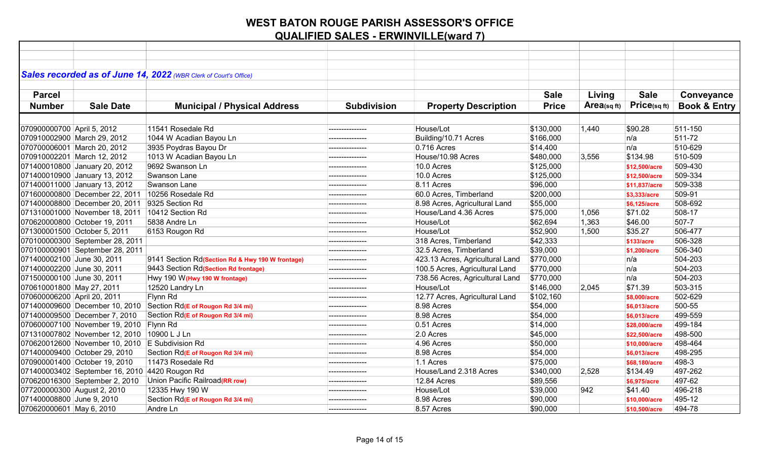|                             |                                                 | Sales recorded as of June 14, 2022 (WBR Clerk of Court's Office) |                    |                                 |              |            |                   |                         |
|-----------------------------|-------------------------------------------------|------------------------------------------------------------------|--------------------|---------------------------------|--------------|------------|-------------------|-------------------------|
|                             |                                                 |                                                                  |                    |                                 |              |            |                   |                         |
| <b>Parcel</b>               |                                                 |                                                                  |                    |                                 | <b>Sale</b>  | Living     | <b>Sale</b>       | Conveyance              |
| <b>Number</b>               | <b>Sale Date</b>                                | <b>Municipal / Physical Address</b>                              | <b>Subdivision</b> | <b>Property Description</b>     | <b>Price</b> | Area(sqft) | $Price_{(sq ft)}$ | <b>Book &amp; Entry</b> |
|                             |                                                 |                                                                  |                    |                                 |              |            |                   |                         |
| 070900000700 April 5, 2012  |                                                 | 11541 Rosedale Rd                                                | ---------------    | House/Lot                       | \$130,000    | 1,440      | \$90.28           | 511-150                 |
|                             | 070910002900 March 29, 2012                     | 1044 W Acadian Bayou Ln                                          |                    | Building/10.71 Acres            | \$166,000    |            | n/a               | 511-72                  |
|                             | 070700006001 March 20, 2012                     | 3935 Poydras Bayou Dr                                            | --------------     | 0.716 Acres                     | \$14,400     |            | n/a               | 510-629                 |
|                             | 070910002201 March 12, 2012                     | 1013 W Acadian Bayou Ln                                          |                    | House/10.98 Acres               | \$480,000    | 3,556      | \$134.98          | 510-509                 |
|                             | 071400010800 January 20, 2012                   | 9692 Swanson Ln                                                  |                    | 10.0 Acres                      | \$125,000    |            | \$12,500/acre     | 509-430                 |
|                             | 071400010900 January 13, 2012                   | <b>Swanson Lane</b>                                              | ---------------    | 10.0 Acres                      | \$125,000    |            | \$12,500/acre     | 509-334                 |
|                             | 071400011000 January 13, 2012                   | Swanson Lane                                                     | ---------------    | 8.11 Acres                      | \$96,000     |            | \$11,837/acre     | 509-338                 |
|                             | 071600000800 December 22, 2011                  | 10256 Rosedale Rd                                                | ---------------    | 60.0 Acres, Timberland          | \$200,000    |            | \$3,333/acre      | 509-91                  |
|                             | 071400008800 December 20, 2011                  | 9325 Section Rd                                                  | ---------------    | 8.98 Acres, Agricultural Land   | \$55,000     |            | \$6,125/acre      | 508-692                 |
|                             | 071310001000 November 18, 2011                  | 10412 Section Rd                                                 | ---------------    | House/Land 4.36 Acres           | \$75,000     | 1,056      | \$71.02           | 508-17                  |
|                             | 070620000800 October 19, 2011                   | 5838 Andre Ln                                                    | ---------------    | House/Lot                       | \$62,694     | 1,363      | \$46.00           | 507-7                   |
|                             | 071300001500 October 5, 2011                    | 6153 Rougon Rd                                                   | ---------------    | House/Lot                       | \$52,900     | 1,500      | \$35.27           | 506-477                 |
|                             | 070100000300 September 28, 2011                 |                                                                  | --------------     | 318 Acres, Timberland           | \$42,333     |            | \$133/acre        | 506-328                 |
|                             | 070100000901 September 28, 2011                 |                                                                  | ---------------    | 32.5 Acres, Timberland          | \$39,000     |            | \$1,200/acre      | 506-340                 |
| 071400002100 June 30, 2011  |                                                 | 9141 Section Rd(Section Rd & Hwy 190 W frontage)                 | ---------------    | 423.13 Acres, Agricultural Land | \$770,000    |            | ∣n/a              | 504-203                 |
| 071400002200 June 30, 2011  |                                                 | 9443 Section Rd(Section Rd frontage)                             |                    | 100.5 Acres, Agricultural Land  | \$770,000    |            | n/a               | 504-203                 |
| 071500000100 June 30, 2011  |                                                 | Hwy 190 W (Hwy 190 W frontage)                                   |                    | 738.56 Acres, Agricultural Land | \$770,000    |            | n/a               | 504-203                 |
| 070610001800 May 27, 2011   |                                                 | 12520 Landry Ln                                                  | ---------------    | House/Lot                       | \$146,000    | 2,045      | \$71.39           | 503-315                 |
| 070600006200 April 20, 2011 |                                                 | Flynn Rd                                                         |                    | 12.77 Acres, Agricultural Land  | \$102,160    |            | \$8,000/acre      | 502-629                 |
|                             |                                                 | 071400009600 December 10, 2010 Section Rd(E of Rougon Rd 3/4 mi) | ---------------    | 8.98 Acres                      | \$54,000     |            | \$6,013/acre      | 500-55                  |
|                             | 071400009500 December 7, 2010                   | Section Rd(E of Rougon Rd 3/4 mi)                                |                    | 8.98 Acres                      | \$54,000     |            | \$6,013/acre      | 499-559                 |
|                             | 070600007100 November 19, 2010 Flynn Rd         |                                                                  | ---------------    | 0.51 Acres                      | \$14,000     |            | \$28,000/acre     | 499-184                 |
|                             | 071310007802 November 12, 2010                  | 10900 L J Ln                                                     | ---------------    | 2.0 Acres                       | \$45,000     |            | \$22,500/acre     | 498-500                 |
|                             | 070620012600 November 10, 2010 E Subdivision Rd |                                                                  | ---------------    | 4.96 Acres                      | \$50,000     |            | \$10,000/acre     | 498-464                 |
|                             | 071400009400 October 29, 2010                   | Section Rd(E of Rougon Rd 3/4 mi)                                | ---------------    | 8.98 Acres                      | \$54,000     |            | \$6,013/acre      | 498-295                 |
|                             | 070900001400 October 19, 2010                   | 11473 Rosedale Rd                                                | ---------------    | 1.1 Acres                       | \$75,000     |            | \$68,180/acre     | 498-3                   |
|                             | 071400003402 September 16, 2010 4420 Rougon Rd  |                                                                  | ---------------    | House/Land 2.318 Acres          | \$340,000    | 2,528      | \$134.49          | 497-262                 |
|                             | 070620016300 September 2, 2010                  | Union Pacific Railroad(RR row)                                   | ---------------    | 12.84 Acres                     | \$89,556     |            | \$6,975/acre      | 497-62                  |
|                             | 077200000300 August 2, 2010                     | 12335 Hwy 190 W                                                  | ---------------    | House/Lot                       | \$39,000     | 942        | \$41.40           | 496-218                 |
| 071400008800 June 9, 2010   |                                                 | Section Rd(E of Rougon Rd 3/4 mi)                                |                    | 8.98 Acres                      | \$90,000     |            | \$10,000/acre     | 495-12                  |
| 070620000601 May 6, 2010    |                                                 | Andre Ln                                                         | ---------------    | 8.57 Acres                      | \$90,000     |            | \$10,500/acre     | 494-78                  |